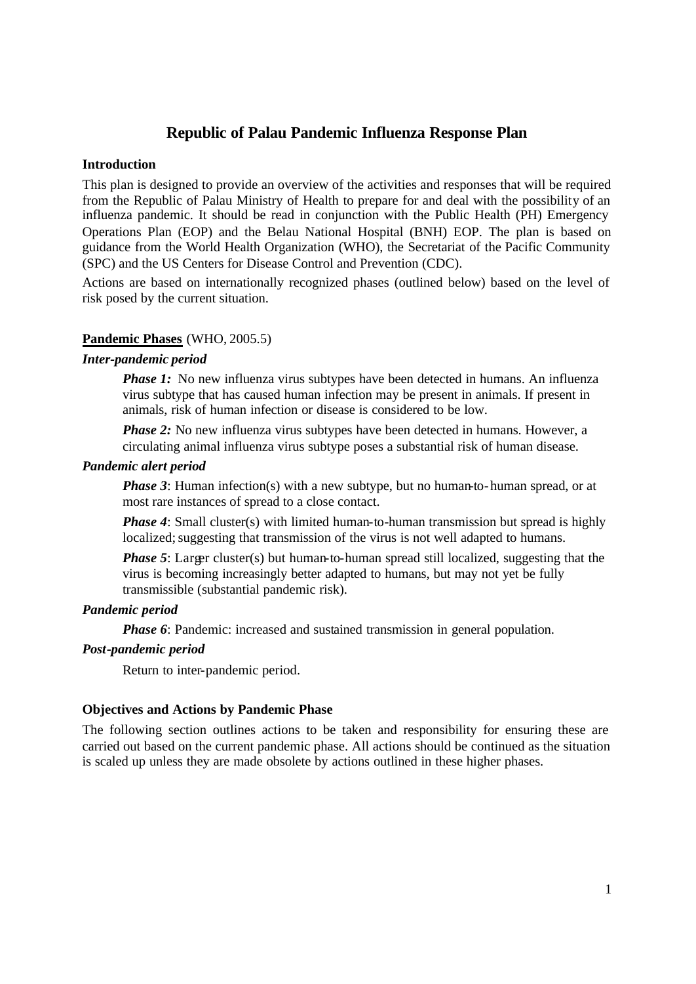## **Republic of Palau Pandemic Influenza Response Plan**

### **Introduction**

This plan is designed to provide an overview of the activities and responses that will be required from the Republic of Palau Ministry of Health to prepare for and deal with the possibility of an influenza pandemic. It should be read in conjunction with the Public Health (PH) Emergency Operations Plan (EOP) and the Belau National Hospital (BNH) EOP. The plan is based on guidance from the World Health Organization (WHO), the Secretariat of the Pacific Community (SPC) and the US Centers for Disease Control and Prevention (CDC).

Actions are based on internationally recognized phases (outlined below) based on the level of risk posed by the current situation.

## **Pandemic Phases** (WHO, 2005.5)

#### *Inter-pandemic period*

*Phase 1*: No new influenza virus subtypes have been detected in humans. An influenza virus subtype that has caused human infection may be present in animals. If present in animals, risk of human infection or disease is considered to be low.

*Phase 2:* No new influenza virus subtypes have been detected in humans. However, a circulating animal influenza virus subtype poses a substantial risk of human disease.

### *Pandemic alert period*

*Phase 3*: Human infection(s) with a new subtype, but no human-to-human spread, or at most rare instances of spread to a close contact.

*Phase 4*: Small cluster(s) with limited human-to-human transmission but spread is highly localized; suggesting that transmission of the virus is not well adapted to humans.

*Phase 5*: Larger cluster(s) but human-to-human spread still localized, suggesting that the virus is becoming increasingly better adapted to humans, but may not yet be fully transmissible (substantial pandemic risk).

### *Pandemic period*

*Phase 6*: Pandemic: increased and sustained transmission in general population.

### *Post-pandemic period*

Return to inter-pandemic period.

### **Objectives and Actions by Pandemic Phase**

The following section outlines actions to be taken and responsibility for ensuring these are carried out based on the current pandemic phase. All actions should be continued as the situation is scaled up unless they are made obsolete by actions outlined in these higher phases.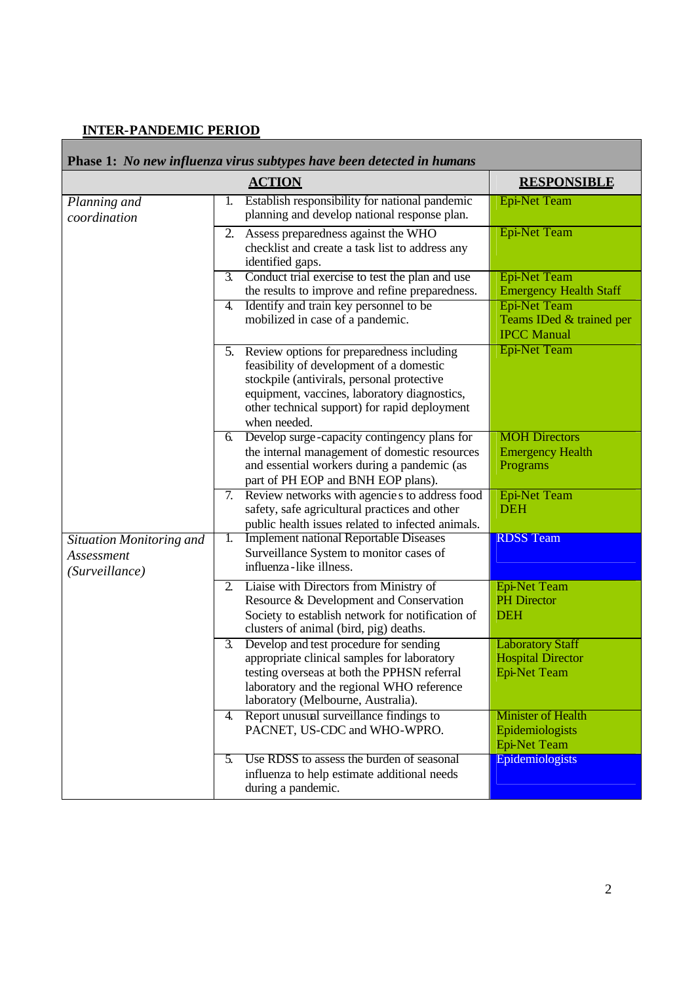# **INTER-PANDEMIC PERIOD**

| Phase 1: No new influenza virus subtypes have been detected in humans |    |                                                                                                                                                                                                                                                         |                                                                            |  |
|-----------------------------------------------------------------------|----|---------------------------------------------------------------------------------------------------------------------------------------------------------------------------------------------------------------------------------------------------------|----------------------------------------------------------------------------|--|
|                                                                       |    | <b>ACTION</b>                                                                                                                                                                                                                                           | <b>RESPONSIBLE</b>                                                         |  |
| Planning and<br>coordination                                          | 1. | Establish responsibility for national pandemic<br>planning and develop national response plan.                                                                                                                                                          | <b>Epi-Net Team</b>                                                        |  |
|                                                                       |    | 2. Assess preparedness against the WHO<br>checklist and create a task list to address any<br>identified gaps.                                                                                                                                           | <b>Epi-Net Team</b>                                                        |  |
|                                                                       | 3. | Conduct trial exercise to test the plan and use<br>the results to improve and refine preparedness.                                                                                                                                                      | <b>Epi-Net Team</b><br><b>Emergency Health Staff</b>                       |  |
|                                                                       | 4. | Identify and train key personnel to be<br>mobilized in case of a pandemic.                                                                                                                                                                              | <b>Epi-Net Team</b><br>Teams IDed & trained per<br><b>IPCC Manual</b>      |  |
|                                                                       |    | 5. Review options for preparedness including<br>feasibility of development of a domestic<br>stockpile (antivirals, personal protective<br>equipment, vaccines, laboratory diagnostics,<br>other technical support) for rapid deployment<br>when needed. | <b>Epi-Net Team</b>                                                        |  |
|                                                                       | 6. | Develop surge-capacity contingency plans for<br>the internal management of domestic resources<br>and essential workers during a pandemic (as<br>part of PH EOP and BNH EOP plans).                                                                      | <b>MOH Directors</b><br><b>Emergency Health</b><br>Programs                |  |
|                                                                       |    | 7. Review networks with agencies to address food<br>safety, safe agricultural practices and other<br>public health issues related to infected animals.                                                                                                  | <b>Epi-Net Team</b><br><b>DEH</b>                                          |  |
| <b>Situation Monitoring and</b><br>Assessment<br>(Surveillance)       | 1. | <b>Implement national Reportable Diseases</b><br>Surveillance System to monitor cases of<br>influenza-like illness.                                                                                                                                     | <b>RDSS</b> Team                                                           |  |
|                                                                       | 2. | Liaise with Directors from Ministry of<br>Resource & Development and Conservation<br>Society to establish network for notification of<br>clusters of animal (bird, pig) deaths.                                                                         | <b>Epi-Net Team</b><br><b>PH</b> Director<br><b>DEH</b>                    |  |
|                                                                       | 3. | Develop and test procedure for sending<br>appropriate clinical samples for laboratory<br>testing overseas at both the PPHSN referral<br>laboratory and the regional WHO reference<br>laboratory (Melbourne, Australia).                                 | <b>Laboratory Staff</b><br><b>Hospital Director</b><br><b>Epi-Net Team</b> |  |
|                                                                       | 4. | Report unusual surveillance findings to<br>PACNET, US-CDC and WHO-WPRO.                                                                                                                                                                                 | <b>Minister of Health</b><br>Epidemiologists<br><b>Epi-Net Team</b>        |  |
|                                                                       | 5. | Use RDSS to assess the burden of seasonal<br>influenza to help estimate additional needs<br>during a pandemic.                                                                                                                                          | Epidemiologists                                                            |  |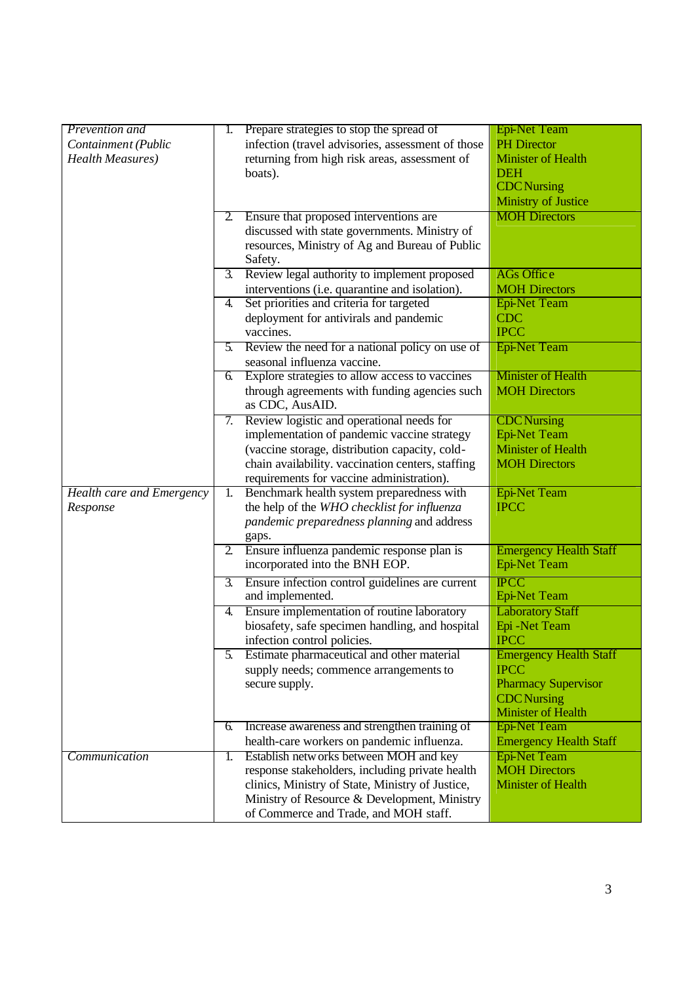| Prevention and            | I. | Prepare strategies to stop the spread of                                             | <b>Epi-Net Team</b>                                  |
|---------------------------|----|--------------------------------------------------------------------------------------|------------------------------------------------------|
| Containment (Public       |    | infection (travel advisories, assessment of those                                    | <b>PH</b> Director                                   |
| <b>Health Measures</b> )  |    | returning from high risk areas, assessment of                                        | <b>Minister of Health</b>                            |
|                           |    | boats).                                                                              | <b>DEH</b>                                           |
|                           |    |                                                                                      | <b>CDC</b> Nursing                                   |
|                           |    |                                                                                      | <b>Ministry of Justice</b>                           |
|                           | 2. | Ensure that proposed interventions are                                               | <b>MOH Directors</b>                                 |
|                           |    | discussed with state governments. Ministry of                                        |                                                      |
|                           |    | resources, Ministry of Ag and Bureau of Public                                       |                                                      |
|                           |    | Safety.                                                                              |                                                      |
|                           | 3. | Review legal authority to implement proposed                                         | <b>AGs Office</b>                                    |
|                           |    | interventions (i.e. quarantine and isolation).                                       | <b>MOH Directors</b>                                 |
|                           | 4. | Set priorities and criteria for targeted                                             | Epi-Net Team                                         |
|                           |    | deployment for antivirals and pandemic                                               | <b>CDC</b>                                           |
|                           |    | vaccines.                                                                            | <b>IPCC</b>                                          |
|                           |    | 5. Review the need for a national policy on use of                                   | <b>Epi-Net Team</b>                                  |
|                           |    | seasonal influenza vaccine.                                                          |                                                      |
|                           | 6. | Explore strategies to allow access to vaccines                                       | <b>Minister of Health</b>                            |
|                           |    | through agreements with funding agencies such                                        | <b>MOH Directors</b>                                 |
|                           |    | as CDC, AusAID.                                                                      |                                                      |
|                           | 7. | Review logistic and operational needs for                                            | <b>CDC</b> Nursing                                   |
|                           |    | implementation of pandemic vaccine strategy                                          | <b>Epi-Net Team</b>                                  |
|                           |    | (vaccine storage, distribution capacity, cold-                                       | <b>Minister of Health</b>                            |
|                           |    | chain availability. vaccination centers, staffing                                    | <b>MOH Directors</b>                                 |
|                           |    | requirements for vaccine administration).                                            |                                                      |
| Health care and Emergency | 1. | Benchmark health system preparedness with                                            | <b>Epi-Net Team</b>                                  |
| Response                  |    | the help of the WHO checklist for influenza                                          | <b>IPCC</b>                                          |
|                           |    | pandemic preparedness planning and address                                           |                                                      |
|                           |    | gaps.                                                                                |                                                      |
|                           |    | 2. Ensure influenza pandemic response plan is                                        | <b>Emergency Health Staff</b>                        |
|                           |    | incorporated into the BNH EOP.                                                       | <b>Epi-Net Team</b>                                  |
|                           | 3. | Ensure infection control guidelines are current                                      | <b>IPCC</b>                                          |
|                           |    | and implemented.                                                                     | <b>Epi-Net Team</b>                                  |
|                           | 4. | Ensure implementation of routine laboratory                                          | <b>Laboratory Staff</b>                              |
|                           |    | biosafety, safe specimen handling, and hospital                                      | Epi -Net Team                                        |
|                           |    | infection control policies.                                                          | <b>IPCC</b>                                          |
|                           | 5. | Estimate pharmaceutical and other material                                           | <b>Emergency Health Staff</b>                        |
|                           |    | supply needs; commence arrangements to                                               | <b>IPCC</b>                                          |
|                           |    | secure supply.                                                                       | <b>Pharmacy Supervisor</b>                           |
|                           |    |                                                                                      | <b>CDC</b> Nursing                                   |
|                           |    |                                                                                      | <b>Minister of Health</b>                            |
|                           | 6. | Increase awareness and strengthen training of                                        | <b>Epi-Net Team</b>                                  |
|                           |    | health-care workers on pandemic influenza.<br>Establish networks between MOH and key | <b>Emergency Health Staff</b><br><b>Epi-Net Team</b> |
| Communication             | 1. | response stakeholders, including private health                                      | <b>MOH Directors</b>                                 |
|                           |    | clinics, Ministry of State, Ministry of Justice,                                     | <b>Minister of Health</b>                            |
|                           |    | Ministry of Resource & Development, Ministry                                         |                                                      |
|                           |    | of Commerce and Trade, and MOH staff.                                                |                                                      |
|                           |    |                                                                                      |                                                      |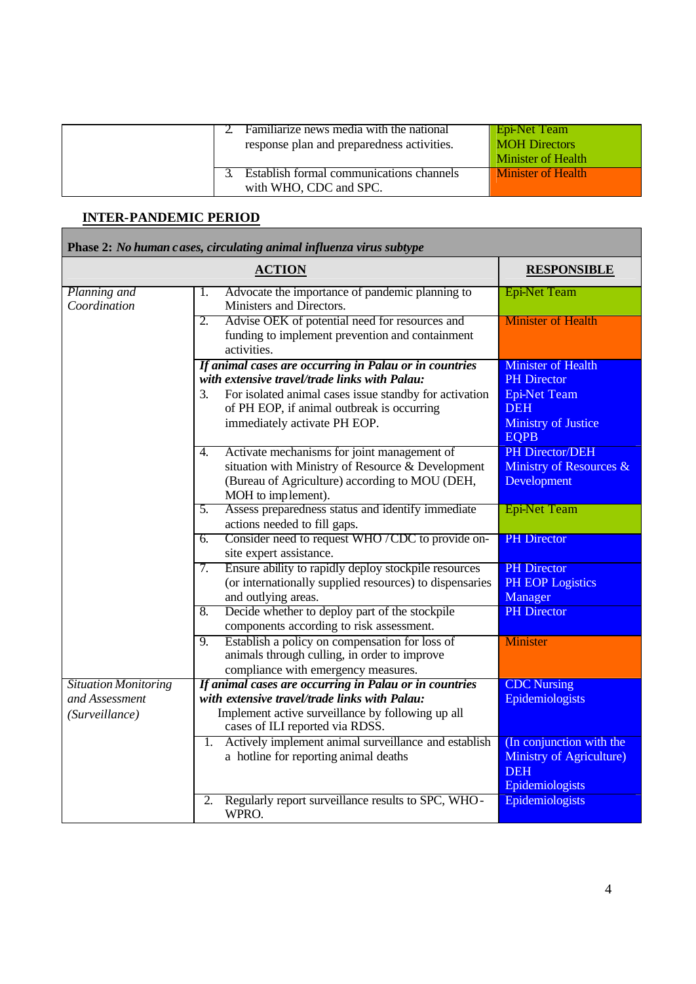|  | Familiarize news media with the national<br>response plan and preparedness activities. | Epi-Net Team<br><b>MOH</b> Directors<br>Minister of Health |
|--|----------------------------------------------------------------------------------------|------------------------------------------------------------|
|  | <b>Establish formal communications channels</b><br>with WHO, CDC and SPC.              | <b>Minister of Health</b>                                  |

# **INTER-PANDEMIC PERIOD**

|                                  | Phase 2: No human cases, circulating animal influenza virus subtype                                                                                                            |                                                                                       |
|----------------------------------|--------------------------------------------------------------------------------------------------------------------------------------------------------------------------------|---------------------------------------------------------------------------------------|
|                                  | <b>ACTION</b>                                                                                                                                                                  | <b>RESPONSIBLE</b>                                                                    |
| Planning and<br>Coordination     | Advocate the importance of pandemic planning to<br>1.<br>Ministers and Directors.                                                                                              | <b>Epi-Net Team</b>                                                                   |
|                                  | Advise OEK of potential need for resources and<br>2.<br>funding to implement prevention and containment<br>activities.                                                         | <b>Minister of Health</b>                                                             |
|                                  | If animal cases are occurring in Palau or in countries<br>with extensive travel/trade links with Palau:                                                                        | <b>Minister of Health</b><br><b>PH</b> Director                                       |
|                                  | For isolated animal cases issue standby for activation<br>3.<br>of PH EOP, if animal outbreak is occurring<br>immediately activate PH EOP.                                     | <b>Epi-Net Team</b><br><b>DEH</b><br><b>Ministry of Justice</b><br><b>EQPB</b>        |
|                                  | Activate mechanisms for joint management of<br>4.<br>situation with Ministry of Resource & Development<br>(Bureau of Agriculture) according to MOU (DEH,<br>MOH to implement). | PH Director/DEH<br>Ministry of Resources &<br>Development                             |
|                                  | Assess preparedness status and identify immediate<br>5.<br>actions needed to fill gaps.                                                                                        | <b>Epi-Net Team</b>                                                                   |
|                                  | Consider need to request WHO/CDC to provide on-<br>6.<br>site expert assistance.                                                                                               | <b>PH</b> Director                                                                    |
|                                  | Ensure ability to rapidly deploy stockpile resources<br>7.<br>(or internationally supplied resources) to dispensaries<br>and outlying areas.                                   | <b>PH</b> Director<br><b>PH EOP Logistics</b><br>Manager                              |
|                                  | Decide whether to deploy part of the stockpile<br>8.<br>components according to risk assessment.                                                                               | <b>PH</b> Director                                                                    |
|                                  | Establish a policy on compensation for loss of<br>9.<br>animals through culling, in order to improve<br>compliance with emergency measures.                                    | <b>Minister</b>                                                                       |
| <b>Situation Monitoring</b>      | If animal cases are occurring in Palau or in countries                                                                                                                         | <b>CDC</b> Nursing                                                                    |
| and Assessment<br>(Surveillance) | with extensive travel/trade links with Palau:<br>Implement active surveillance by following up all<br>cases of ILI reported via RDSS.                                          | Epidemiologists                                                                       |
|                                  | Actively implement animal surveillance and establish<br>1.<br>a hotline for reporting animal deaths                                                                            | (In conjunction with the<br>Ministry of Agriculture)<br><b>DEH</b><br>Epidemiologists |
|                                  | Regularly report surveillance results to SPC, WHO-<br>2.<br>WPRO.                                                                                                              | Epidemiologists                                                                       |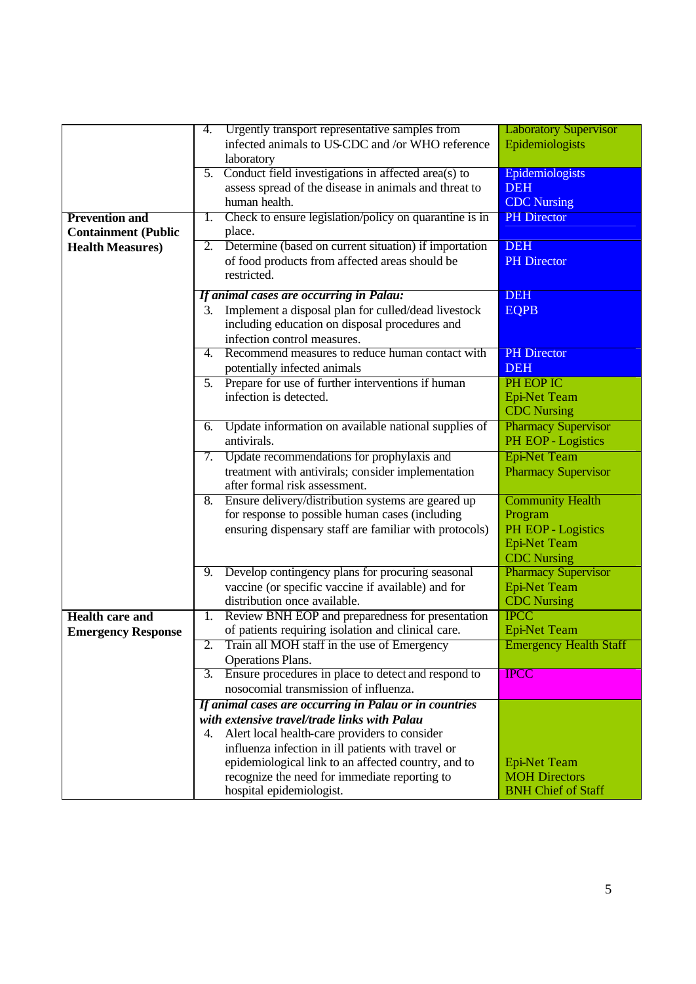|                            | 4.               | Urgently transport representative samples from         | <b>Laboratory Supervisor</b>  |
|----------------------------|------------------|--------------------------------------------------------|-------------------------------|
|                            |                  | infected animals to US-CDC and /or WHO reference       | Epidemiologists               |
|                            |                  | laboratory                                             |                               |
|                            | 5.               | Conduct field investigations in affected area(s) to    | Epidemiologists               |
|                            |                  | assess spread of the disease in animals and threat to  | <b>DEH</b>                    |
|                            |                  | human health.                                          | <b>CDC</b> Nursing            |
| <b>Prevention and</b>      | 1.               | Check to ensure legislation/policy on quarantine is in | <b>PH</b> Director            |
| <b>Containment (Public</b> |                  | place.                                                 |                               |
| <b>Health Measures)</b>    | 2.               | Determine (based on current situation) if importation  | <b>DEH</b>                    |
|                            |                  | of food products from affected areas should be         | <b>PH</b> Director            |
|                            |                  | restricted.                                            |                               |
|                            |                  |                                                        |                               |
|                            |                  | If animal cases are occurring in Palau:                | <b>DEH</b>                    |
|                            | 3.               | Implement a disposal plan for culled/dead livestock    | <b>EQPB</b>                   |
|                            |                  | including education on disposal procedures and         |                               |
|                            |                  | infection control measures.                            |                               |
|                            | 4.               | Recommend measures to reduce human contact with        | <b>PH</b> Director            |
|                            |                  | potentially infected animals                           | <b>DEH</b>                    |
|                            |                  |                                                        | PH EOP IC                     |
|                            | 5.               | Prepare for use of further interventions if human      |                               |
|                            |                  | infection is detected.                                 | <b>Epi-Net Team</b>           |
|                            |                  |                                                        | <b>CDC</b> Nursing            |
|                            | 6.               | Update information on available national supplies of   | <b>Pharmacy Supervisor</b>    |
|                            |                  | antivirals.                                            | PH EOP - Logistics            |
|                            |                  | 7. Update recommendations for prophylaxis and          | <b>Epi-Net Team</b>           |
|                            |                  | treatment with antivirals; consider implementation     | <b>Pharmacy Supervisor</b>    |
|                            |                  | after formal risk assessment.                          |                               |
|                            | 8.               | Ensure delivery/distribution systems are geared up     | <b>Community Health</b>       |
|                            |                  | for response to possible human cases (including        | Program                       |
|                            |                  | ensuring dispensary staff are familiar with protocols) | PH EOP - Logistics            |
|                            |                  |                                                        |                               |
|                            |                  |                                                        | <b>Epi-Net Team</b>           |
|                            |                  |                                                        | <b>CDC</b> Nursing            |
|                            | 9.               | Develop contingency plans for procuring seasonal       | <b>Pharmacy Supervisor</b>    |
|                            |                  | vaccine (or specific vaccine if available) and for     | <b>Epi-Net Team</b>           |
|                            |                  | distribution once available.                           | <b>CDC</b> Nursing            |
| <b>Health care and</b>     | 1.               | Review BNH EOP and preparedness for presentation       | <b>IPCC</b>                   |
| <b>Emergency Response</b>  |                  | of patients requiring isolation and clinical care.     | <b>Epi-Net Team</b>           |
|                            | 2.               | Train all MOH staff in the use of Emergency            | <b>Emergency Health Staff</b> |
|                            |                  | Operations Plans.                                      |                               |
|                            | $\overline{3}$ . | Ensure procedures in place to detect and respond to    | <b>IPCC</b>                   |
|                            |                  | nosocomial transmission of influenza.                  |                               |
|                            |                  |                                                        |                               |
|                            |                  | If animal cases are occurring in Palau or in countries |                               |
|                            |                  | with extensive travel/trade links with Palau           |                               |
|                            | 4.               | Alert local health-care providers to consider          |                               |
|                            |                  | influenza infection in ill patients with travel or     |                               |
|                            |                  | epidemiological link to an affected country, and to    | <b>Epi-Net Team</b>           |
|                            |                  | recognize the need for immediate reporting to          | <b>MOH Directors</b>          |
|                            |                  | hospital epidemiologist.                               | <b>BNH Chief of Staff</b>     |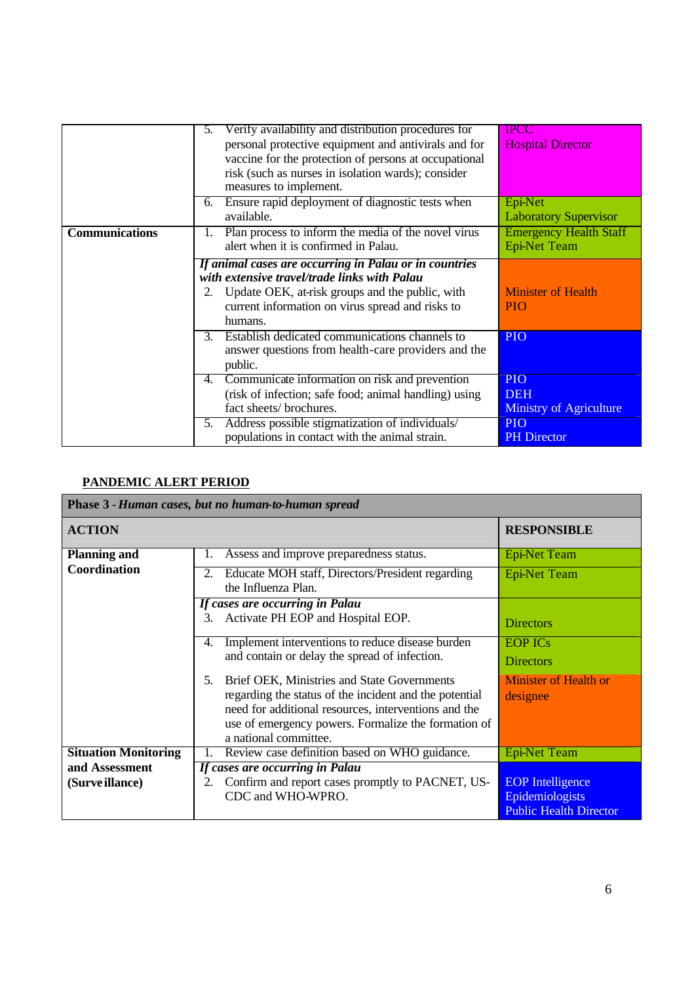|                       | Verify availability and distribution procedures for<br>$\mathcal{L}$ . | IPCC                           |
|-----------------------|------------------------------------------------------------------------|--------------------------------|
|                       | personal protective equipment and antivirals and for                   | <b>Hospital Director</b>       |
|                       | vaccine for the protection of persons at occupational                  |                                |
|                       | risk (such as nurses in isolation wards); consider                     |                                |
|                       | measures to implement.                                                 |                                |
|                       | Ensure rapid deployment of diagnostic tests when<br>6.                 | Epi-Net                        |
|                       | available.                                                             | <b>Laboratory Supervisor</b>   |
| <b>Communications</b> | Plan process to inform the media of the novel virus<br>1.              | <b>Emergency Health Staff</b>  |
|                       | alert when it is confirmed in Palau.                                   | <b>Epi-Net Team</b>            |
|                       | If animal cases are occurring in Palau or in countries                 |                                |
|                       | with extensive travel/trade links with Palau                           |                                |
|                       | Update OEK, at-risk groups and the public, with<br>2.                  | <b>Minister of Health</b>      |
|                       | current information on virus spread and risks to                       | <b>PIO</b>                     |
|                       | humans.                                                                |                                |
|                       | Establish dedicated communications channels to<br>$3_{-}$              | <b>PIO</b>                     |
|                       | answer questions from health-care providers and the                    |                                |
|                       | public.                                                                |                                |
|                       | Communicate information on risk and prevention<br>4.                   | <b>PIO</b>                     |
|                       | (risk of infection; safe food; animal handling) using                  | <b>DEH</b>                     |
|                       | fact sheets/ brochures.                                                | <b>Ministry of Agriculture</b> |
|                       | Address possible stigmatization of individuals/<br>5.                  | <b>PIO</b>                     |
|                       | populations in contact with the animal strain.                         | <b>PH Director</b>             |

# **PANDEMIC ALERT PERIOD**

|                             | Phase 3 - Human cases, but no human-to-human spread                           |                               |
|-----------------------------|-------------------------------------------------------------------------------|-------------------------------|
| <b>ACTION</b>               |                                                                               | <b>RESPONSIBLE</b>            |
| <b>Planning and</b>         | Assess and improve preparedness status.                                       | <b>Epi-Net Team</b>           |
| Coordination                | Educate MOH staff, Directors/President regarding<br>2.<br>the Influenza Plan. | <b>Epi-Net Team</b>           |
|                             | If cases are occurring in Palau                                               |                               |
|                             | Activate PH EOP and Hospital EOP.<br>3.                                       | <b>Directors</b>              |
|                             | Implement interventions to reduce disease burden<br>4.                        | <b>EOP ICs</b>                |
|                             | and contain or delay the spread of infection.                                 | <b>Directors</b>              |
|                             | Brief OEK, Ministries and State Governments<br>5.                             | <b>Minister of Health or</b>  |
|                             | regarding the status of the incident and the potential                        | designee                      |
|                             | need for additional resources, interventions and the                          |                               |
|                             | use of emergency powers. Formalize the formation of                           |                               |
|                             | a national committee.                                                         |                               |
| <b>Situation Monitoring</b> | Review case definition based on WHO guidance.                                 | <b>Epi-Net Team</b>           |
| and Assessment              | If cases are occurring in Palau                                               |                               |
| (Surve illance)             | Confirm and report cases promptly to PACNET, US-<br>2.                        | <b>EOP</b> Intelligence       |
|                             | CDC and WHO-WPRO.                                                             | Epidemiologists               |
|                             |                                                                               | <b>Public Health Director</b> |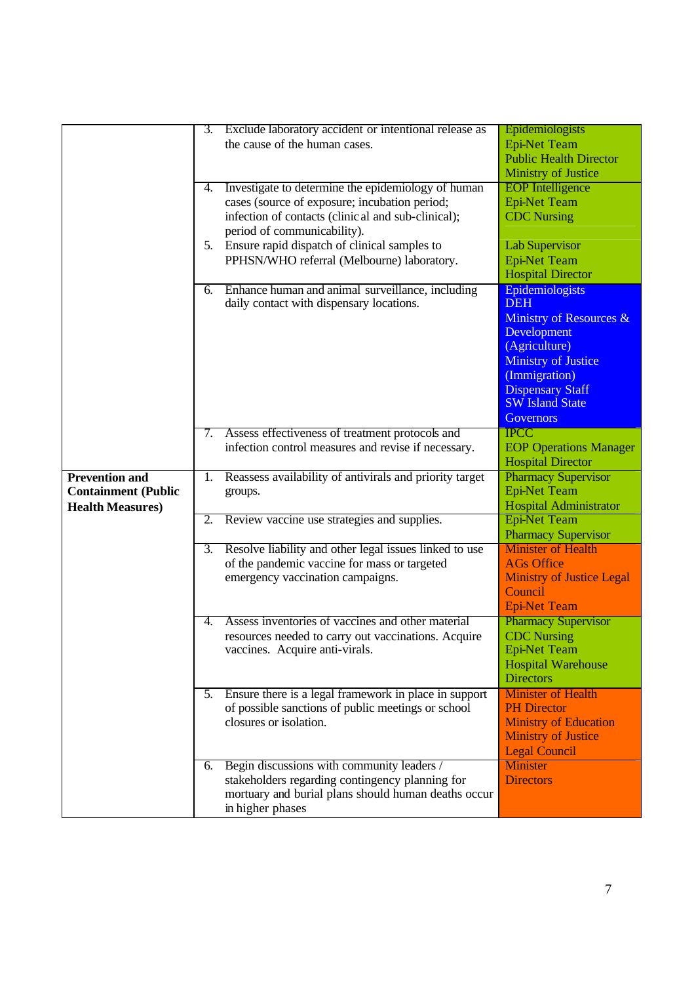|                            | 3.             | Exclude laboratory accident or intentional release as                   | Epidemiologists                  |
|----------------------------|----------------|-------------------------------------------------------------------------|----------------------------------|
|                            |                | the cause of the human cases.                                           | <b>Epi-Net Team</b>              |
|                            |                |                                                                         | <b>Public Health Director</b>    |
|                            |                |                                                                         |                                  |
|                            | 4.             | Investigate to determine the epidemiology of human                      | <b>Ministry of Justice</b>       |
|                            |                |                                                                         | <b>EOP</b> Intelligence          |
|                            |                | cases (source of exposure; incubation period;                           | <b>Epi-Net Team</b>              |
|                            |                | infection of contacts (clinical and sub-clinical);                      | <b>CDC</b> Nursing               |
|                            |                | period of communicability).                                             |                                  |
|                            |                | 5. Ensure rapid dispatch of clinical samples to                         | <b>Lab Supervisor</b>            |
|                            |                | PPHSN/WHO referral (Melbourne) laboratory.                              | <b>Epi-Net Team</b>              |
|                            |                |                                                                         | <b>Hospital Director</b>         |
|                            | 6.             | Enhance human and animal surveillance, including                        | Epidemiologists                  |
|                            |                | daily contact with dispensary locations.                                | <b>DEH</b>                       |
|                            |                |                                                                         | Ministry of Resources &          |
|                            |                |                                                                         | Development                      |
|                            |                |                                                                         | (Agriculture)                    |
|                            |                |                                                                         | <b>Ministry of Justice</b>       |
|                            |                |                                                                         | (Immigration)                    |
|                            |                |                                                                         | <b>Dispensary Staff</b>          |
|                            |                |                                                                         | <b>SW Island State</b>           |
|                            |                |                                                                         | <b>Governors</b>                 |
|                            | 7.             | Assess effectiveness of treatment protocols and                         | <b>IPCC</b>                      |
|                            |                | infection control measures and revise if necessary.                     | <b>EOP Operations Manager</b>    |
|                            |                |                                                                         | <b>Hospital Director</b>         |
| <b>Prevention and</b>      | 1.             | Reassess availability of antivirals and priority target                 | <b>Pharmacy Supervisor</b>       |
| <b>Containment (Public</b> |                | groups.                                                                 | <b>Epi-Net Team</b>              |
| <b>Health Measures)</b>    |                |                                                                         | <b>Hospital Administrator</b>    |
|                            | 2.             | Review vaccine use strategies and supplies.                             | <b>Epi-Net Team</b>              |
|                            |                |                                                                         |                                  |
|                            |                |                                                                         | <b>Pharmacy Supervisor</b>       |
|                            | 3.             | Resolve liability and other legal issues linked to use                  | <b>Minister of Health</b>        |
|                            |                | of the pandemic vaccine for mass or targeted                            | <b>AGs Office</b>                |
|                            |                | emergency vaccination campaigns.                                        | <b>Ministry of Justice Legal</b> |
|                            |                |                                                                         | Council                          |
|                            |                |                                                                         | <b>Epi-Net Team</b>              |
|                            | $\mathbf{4}$ . | Assess inventories of vaccines and other material                       | <b>Pharmacy Supervisor</b>       |
|                            |                | resources needed to carry out vaccinations. Acquire                     | <b>CDC</b> Nursing               |
|                            |                | vaccines. Acquire anti-virals.                                          | Epi-Net Team                     |
|                            |                |                                                                         | <b>Hospital Warehouse</b>        |
|                            |                |                                                                         | <b>Directors</b>                 |
|                            | 5.             | Ensure there is a legal framework in place in support                   | <b>Minister of Health</b>        |
|                            |                | of possible sanctions of public meetings or school                      | <b>PH Director</b>               |
|                            |                | closures or isolation.                                                  | <b>Ministry of Education</b>     |
|                            |                |                                                                         | <b>Ministry of Justice</b>       |
|                            |                |                                                                         | <b>Legal Council</b>             |
|                            | 6.             | Begin discussions with community leaders /                              | <b>Minister</b>                  |
|                            |                | stakeholders regarding contingency planning for                         | <b>Directors</b>                 |
|                            |                | mortuary and burial plans should human deaths occur<br>in higher phases |                                  |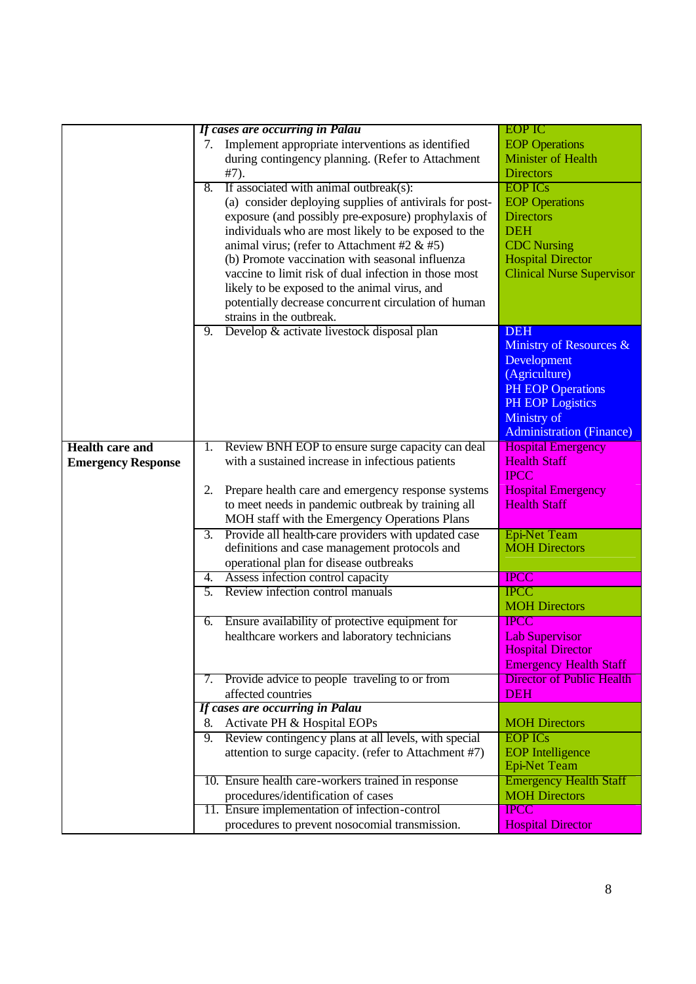|                           |    | If cases are occurring in Palau                                                      | <b>EOP IC</b>                                    |
|---------------------------|----|--------------------------------------------------------------------------------------|--------------------------------------------------|
|                           | 7. | Implement appropriate interventions as identified                                    | <b>EOP</b> Operations                            |
|                           |    | during contingency planning. (Refer to Attachment                                    | <b>Minister of Health</b>                        |
|                           |    | $#7)$ .                                                                              | <b>Directors</b>                                 |
|                           | 8. | If associated with animal outbreak(s):                                               | <b>EOP ICs</b>                                   |
|                           |    | (a) consider deploying supplies of antivirals for post-                              | <b>EOP</b> Operations                            |
|                           |    | exposure (and possibly pre-exposure) prophylaxis of                                  | <b>Directors</b>                                 |
|                           |    | individuals who are most likely to be exposed to the                                 | <b>DEH</b>                                       |
|                           |    | animal virus; (refer to Attachment #2 $&$ #5)                                        | <b>CDC</b> Nursing                               |
|                           |    | (b) Promote vaccination with seasonal influenza                                      | <b>Hospital Director</b>                         |
|                           |    | vaccine to limit risk of dual infection in those most                                | <b>Clinical Nurse Supervisor</b>                 |
|                           |    | likely to be exposed to the animal virus, and                                        |                                                  |
|                           |    | potentially decrease concurrent circulation of human                                 |                                                  |
|                           |    | strains in the outbreak.                                                             |                                                  |
|                           | 9. | Develop & activate livestock disposal plan                                           | <b>DEH</b>                                       |
|                           |    |                                                                                      | Ministry of Resources &                          |
|                           |    |                                                                                      | Development                                      |
|                           |    |                                                                                      | (Agriculture)                                    |
|                           |    |                                                                                      | <b>PH EOP Operations</b>                         |
|                           |    |                                                                                      | <b>PH EOP Logistics</b>                          |
|                           |    |                                                                                      | Ministry of                                      |
|                           |    |                                                                                      | <b>Administration (Finance)</b>                  |
| <b>Health care and</b>    | 1. | Review BNH EOP to ensure surge capacity can deal                                     | <b>Hospital Emergency</b><br><b>Health Staff</b> |
|                           |    |                                                                                      |                                                  |
| <b>Emergency Response</b> |    | with a sustained increase in infectious patients                                     |                                                  |
|                           |    |                                                                                      | <b>IPCC</b>                                      |
|                           | 2. | Prepare health care and emergency response systems                                   | <b>Hospital Emergency</b>                        |
|                           |    | to meet needs in pandemic outbreak by training all                                   | <b>Health Staff</b>                              |
|                           |    | MOH staff with the Emergency Operations Plans                                        |                                                  |
|                           | 3. | Provide all health-care providers with updated case                                  | <b>Epi-Net Team</b>                              |
|                           |    | definitions and case management protocols and                                        | <b>MOH Directors</b>                             |
|                           | 4. | operational plan for disease outbreaks                                               | <b>IPCC</b>                                      |
|                           | 5. | Assess infection control capacity<br>Review infection control manuals                | <b>IPCC</b>                                      |
|                           |    |                                                                                      | <b>MOH Directors</b>                             |
|                           | 6. | Ensure availability of protective equipment for                                      | <b>IPCC</b>                                      |
|                           |    | healthcare workers and laboratory technicians                                        | <b>Lab Supervisor</b>                            |
|                           |    |                                                                                      | <b>Hospital Director</b>                         |
|                           |    |                                                                                      | <b>Emergency Health Staff</b>                    |
|                           |    | 7. Provide advice to people traveling to or from                                     | <b>Director of Public Health</b>                 |
|                           |    | affected countries                                                                   | <b>DEH</b>                                       |
|                           |    | If cases are occurring in Palau                                                      |                                                  |
|                           | 8. | Activate PH & Hospital EOPs                                                          | <b>MOH Directors</b>                             |
|                           | 9. | Review contingency plans at all levels, with special                                 | <b>EOP ICs</b>                                   |
|                           |    | attention to surge capacity. (refer to Attachment #7)                                | <b>EOP</b> Intelligence                          |
|                           |    |                                                                                      | <b>Epi-Net Team</b>                              |
|                           |    | 10. Ensure health care-workers trained in response                                   | <b>Emergency Health Staff</b>                    |
|                           |    | procedures/identification of cases<br>11. Ensure implementation of infection-control | <b>MOH Directors</b><br><b>IPCC</b>              |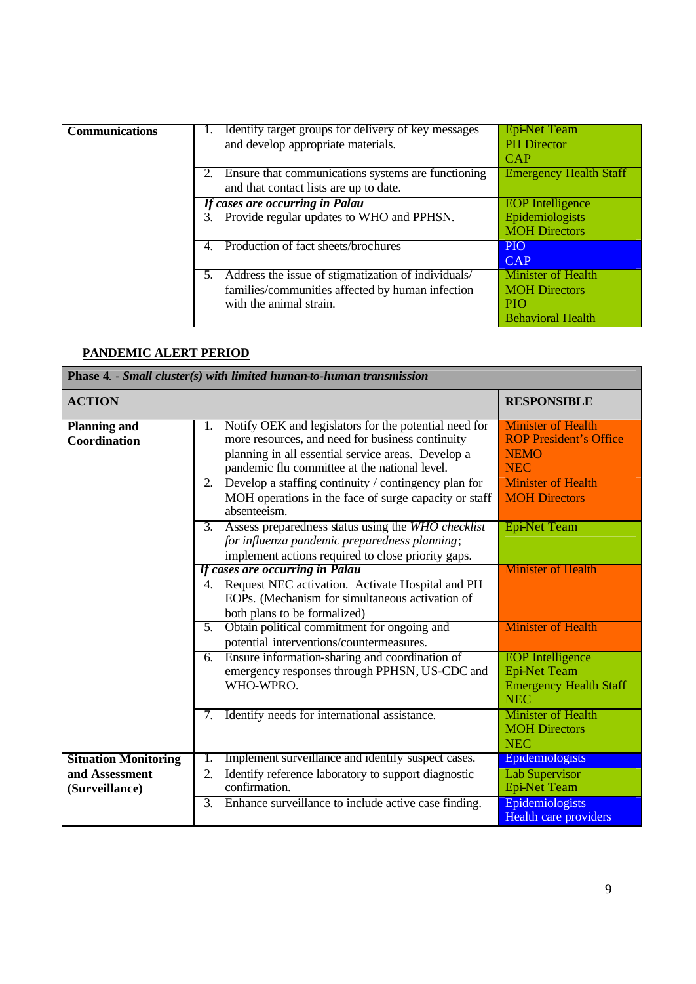| <b>Communications</b> | Identify target groups for delivery of key messages<br>and develop appropriate materials.<br>Ensure that communications systems are functioning<br>and that contact lists are up to date. | <b>Epi-Net Team</b><br><b>PH</b> Director<br><b>CAP</b><br><b>Emergency Health Staff</b>    |
|-----------------------|-------------------------------------------------------------------------------------------------------------------------------------------------------------------------------------------|---------------------------------------------------------------------------------------------|
|                       | If cases are occurring in Palau<br>Provide regular updates to WHO and PPHSN.                                                                                                              | <b>EOP</b> Intelligence<br>Epidemiologists<br><b>MOH Directors</b>                          |
|                       | Production of fact sheets/brochures                                                                                                                                                       | <b>PIO</b><br><b>CAP</b>                                                                    |
|                       | 5. Address the issue of stigmatization of individuals/<br>families/communities affected by human infection<br>with the animal strain.                                                     | <b>Minister of Health</b><br><b>MOH</b> Directors<br><b>PIO</b><br><b>Behavioral Health</b> |

## **PANDEMIC ALERT PERIOD**

|                                                                 | <b>Phase 4. - Small cluster(s) with limited human-to-human transmission</b>                                                                                                                                                                                                                                                                                                                                            |                                                                                                                                                                     |
|-----------------------------------------------------------------|------------------------------------------------------------------------------------------------------------------------------------------------------------------------------------------------------------------------------------------------------------------------------------------------------------------------------------------------------------------------------------------------------------------------|---------------------------------------------------------------------------------------------------------------------------------------------------------------------|
| <b>ACTION</b>                                                   |                                                                                                                                                                                                                                                                                                                                                                                                                        | <b>RESPONSIBLE</b>                                                                                                                                                  |
| <b>Planning and</b><br><b>Coordination</b>                      | Notify OEK and legislators for the potential need for<br>1.<br>more resources, and need for business continuity<br>planning in all essential service areas. Develop a<br>pandemic flu committee at the national level.<br>Develop a staffing continuity / contingency plan for<br>2.<br>MOH operations in the face of surge capacity or staff<br>absenteeism.<br>3. Assess preparedness status using the WHO checklist | <b>Minister of Health</b><br><b>ROP President's Office</b><br><b>NEMO</b><br><b>NEC</b><br><b>Minister of Health</b><br><b>MOH Directors</b><br><b>Epi-Net Team</b> |
|                                                                 | for influenza pandemic preparedness planning;<br>implement actions required to close priority gaps.<br>If cases are occurring in Palau<br>4. Request NEC activation. Activate Hospital and PH<br>EOPs. (Mechanism for simultaneous activation of<br>both plans to be formalized)                                                                                                                                       | <b>Minister of Health</b>                                                                                                                                           |
|                                                                 | Obtain political commitment for ongoing and<br>5.<br>potential interventions/countermeasures.<br>Ensure information-sharing and coordination of<br>6.<br>emergency responses through PPHSN, US-CDC and                                                                                                                                                                                                                 | <b>Minister of Health</b><br><b>EOP</b> Intelligence<br><b>Epi-Net Team</b>                                                                                         |
|                                                                 | WHO-WPRO.<br>Identify needs for international assistance.<br>7.                                                                                                                                                                                                                                                                                                                                                        | <b>Emergency Health Staff</b><br><b>NEC</b><br><b>Minister of Health</b><br><b>MOH Directors</b><br><b>NEC</b>                                                      |
| <b>Situation Monitoring</b><br>and Assessment<br>(Surveillance) | Implement surveillance and identify suspect cases.<br>Identify reference laboratory to support diagnostic<br>2.<br>confirmation.                                                                                                                                                                                                                                                                                       | Epidemiologists<br><b>Lab Supervisor</b><br>Epi-Net Team                                                                                                            |
|                                                                 | Enhance surveillance to include active case finding.<br>3.                                                                                                                                                                                                                                                                                                                                                             | Epidemiologists<br>Health care providers                                                                                                                            |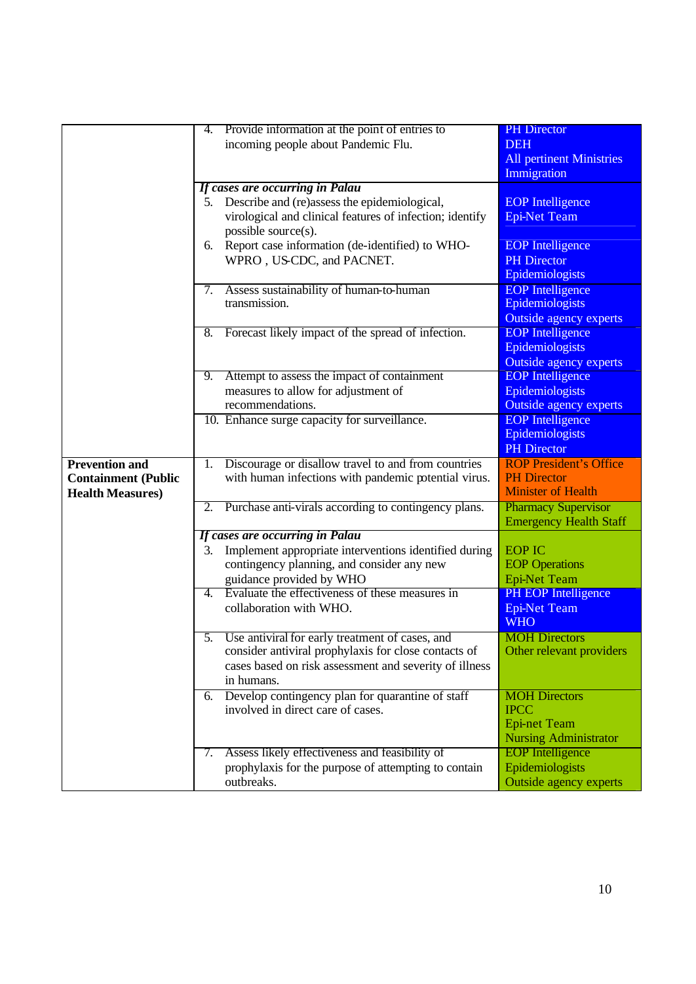|                            | 4.          | Provide information at the point of entries to           | <b>PH</b> Director              |
|----------------------------|-------------|----------------------------------------------------------|---------------------------------|
|                            |             | incoming people about Pandemic Flu.                      | <b>DEH</b>                      |
|                            |             |                                                          | <b>All pertinent Ministries</b> |
|                            |             |                                                          | Immigration                     |
|                            |             | If cases are occurring in Palau                          |                                 |
|                            |             | 5. Describe and (re)assess the epidemiological,          | <b>EOP</b> Intelligence         |
|                            |             | virological and clinical features of infection; identify | <b>Epi-Net Team</b>             |
|                            |             | possible source(s).                                      |                                 |
|                            | 6.          | Report case information (de-identified) to WHO-          | <b>EOP</b> Intelligence         |
|                            |             | WPRO, US-CDC, and PACNET.                                | <b>PH</b> Director              |
|                            |             |                                                          | Epidemiologists                 |
|                            | 7.          | Assess sustainability of human-to-human                  | <b>EOP</b> Intelligence         |
|                            |             | transmission.                                            | Epidemiologists                 |
|                            |             |                                                          | <b>Outside agency experts</b>   |
|                            | 8.          | Forecast likely impact of the spread of infection.       | <b>EOP</b> Intelligence         |
|                            |             |                                                          | Epidemiologists                 |
|                            |             |                                                          | Outside agency experts          |
|                            | 9.          | Attempt to assess the impact of containment              | <b>EOP</b> Intelligence         |
|                            |             | measures to allow for adjustment of                      | Epidemiologists                 |
|                            |             | recommendations.                                         | <b>Outside agency experts</b>   |
|                            |             | 10. Enhance surge capacity for surveillance.             | <b>EOP</b> Intelligence         |
|                            |             |                                                          | Epidemiologists                 |
|                            |             |                                                          | <b>PH</b> Director              |
| <b>Prevention and</b>      | 1.          | Discourage or disallow travel to and from countries      | <b>ROP President's Office</b>   |
| <b>Containment (Public</b> |             | with human infections with pandemic potential virus.     | <b>PH Director</b>              |
| <b>Health Measures)</b>    |             |                                                          | <b>Minister of Health</b>       |
|                            | 2.          | Purchase anti-virals according to contingency plans.     | <b>Pharmacy Supervisor</b>      |
|                            |             |                                                          | <b>Emergency Health Staff</b>   |
|                            |             | If cases are occurring in Palau                          |                                 |
|                            | 3.          | Implement appropriate interventions identified during    | <b>EOP IC</b>                   |
|                            |             | contingency planning, and consider any new               | <b>EOP</b> Operations           |
|                            |             | guidance provided by WHO                                 | <b>Epi-Net Team</b>             |
|                            | $4_{\cdot}$ | Evaluate the effectiveness of these measures in          | PH EOP Intelligence             |
|                            |             | collaboration with WHO.                                  | <b>Epi-Net Team</b>             |
|                            |             |                                                          | <b>WHO</b>                      |
|                            | 5.          | Use antiviral for early treatment of cases, and          | <b>MOH</b> Directors            |
|                            |             | consider antiviral prophylaxis for close contacts of     | Other relevant providers        |
|                            |             | cases based on risk assessment and severity of illness   |                                 |
|                            |             | in humans.                                               |                                 |
|                            | 6.          | Develop contingency plan for quarantine of staff         | <b>MOH Directors</b>            |
|                            |             | involved in direct care of cases.                        | <b>IPCC</b>                     |
|                            |             |                                                          | <b>Epi-net Team</b>             |
|                            |             |                                                          | <b>Nursing Administrator</b>    |
|                            | 7.          | Assess likely effectiveness and feasibility of           | <b>EOP</b> Intelligence         |
|                            |             | prophylaxis for the purpose of attempting to contain     | Epidemiologists                 |
|                            |             | outbreaks.                                               | Outside agency experts          |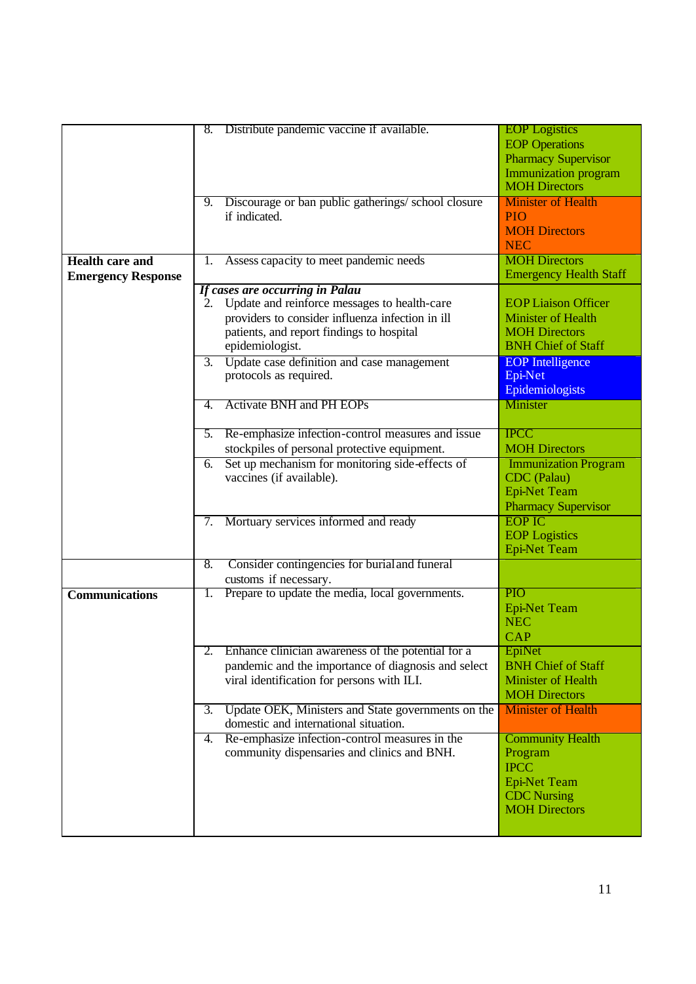|                           | Distribute pandemic vaccine if available.<br>8.          | <b>EOP</b> Logistics<br><b>EOP</b> Operations       |
|---------------------------|----------------------------------------------------------|-----------------------------------------------------|
|                           |                                                          |                                                     |
|                           |                                                          | <b>Pharmacy Supervisor</b>                          |
|                           |                                                          | <b>Immunization program</b><br><b>MOH Directors</b> |
|                           | Discourage or ban public gatherings/school closure<br>9. | <b>Minister of Health</b>                           |
|                           | if indicated.                                            | PIO                                                 |
|                           |                                                          | <b>MOH Directors</b>                                |
|                           |                                                          | <b>NEC</b>                                          |
| <b>Health care and</b>    | Assess capacity to meet pandemic needs<br>1.             | <b>MOH Directors</b>                                |
| <b>Emergency Response</b> |                                                          | <b>Emergency Health Staff</b>                       |
|                           | If cases are occurring in Palau                          |                                                     |
|                           | Update and reinforce messages to health-care<br>2.       | <b>EOP Liaison Officer</b>                          |
|                           | providers to consider influenza infection in ill         | <b>Minister of Health</b>                           |
|                           | patients, and report findings to hospital                | <b>MOH Directors</b>                                |
|                           | epidemiologist.                                          | <b>BNH Chief of Staff</b>                           |
|                           | 3. Update case definition and case management            | <b>EOP</b> Intelligence                             |
|                           | protocols as required.                                   | Epi-Net                                             |
|                           |                                                          | Epidemiologists                                     |
|                           | <b>Activate BNH and PH EOPs</b><br>4.                    | <b>Minister</b>                                     |
|                           |                                                          |                                                     |
|                           | Re-emphasize infection-control measures and issue<br>5.  | <b>IPCC</b>                                         |
|                           | stockpiles of personal protective equipment.             | <b>MOH Directors</b>                                |
|                           | Set up mechanism for monitoring side-effects of<br>6.    | <b>Immunization Program</b>                         |
|                           | vaccines (if available).                                 | CDC (Palau)                                         |
|                           |                                                          | <b>Epi-Net Team</b>                                 |
|                           |                                                          | <b>Pharmacy Supervisor</b>                          |
|                           | Mortuary services informed and ready<br>7.               | <b>EOP IC</b>                                       |
|                           |                                                          | <b>EOP</b> Logistics                                |
|                           |                                                          | <b>Epi-Net Team</b>                                 |
|                           | Consider contingencies for burial and funeral<br>8.      |                                                     |
|                           | customs if necessary.                                    |                                                     |
| <b>Communications</b>     | Prepare to update the media, local governments.<br>1.    | <b>PIO</b>                                          |
|                           |                                                          | <b>Epi-Net Team</b>                                 |
|                           |                                                          | <b>NEC</b>                                          |
|                           |                                                          | <b>CAP</b>                                          |
|                           | Enhance clinician awareness of the potential for a       | EpiNet                                              |
|                           | pandemic and the importance of diagnosis and select      | <b>BNH Chief of Staff</b>                           |
|                           | viral identification for persons with ILI.               | Minister of Health                                  |
|                           |                                                          | <b>MOH Directors</b>                                |
|                           | Update OEK, Ministers and State governments on the<br>3. | <b>Minister of Health</b>                           |
|                           | domestic and international situation.                    |                                                     |
|                           | Re-emphasize infection-control measures in the<br>4.     | <b>Community Health</b>                             |
|                           | community dispensaries and clinics and BNH.              | Program                                             |
|                           |                                                          | <b>IPCC</b>                                         |
|                           |                                                          | <b>Epi-Net Team</b>                                 |
|                           |                                                          | <b>CDC</b> Nursing                                  |
|                           |                                                          | <b>MOH Directors</b>                                |
|                           |                                                          |                                                     |
|                           |                                                          |                                                     |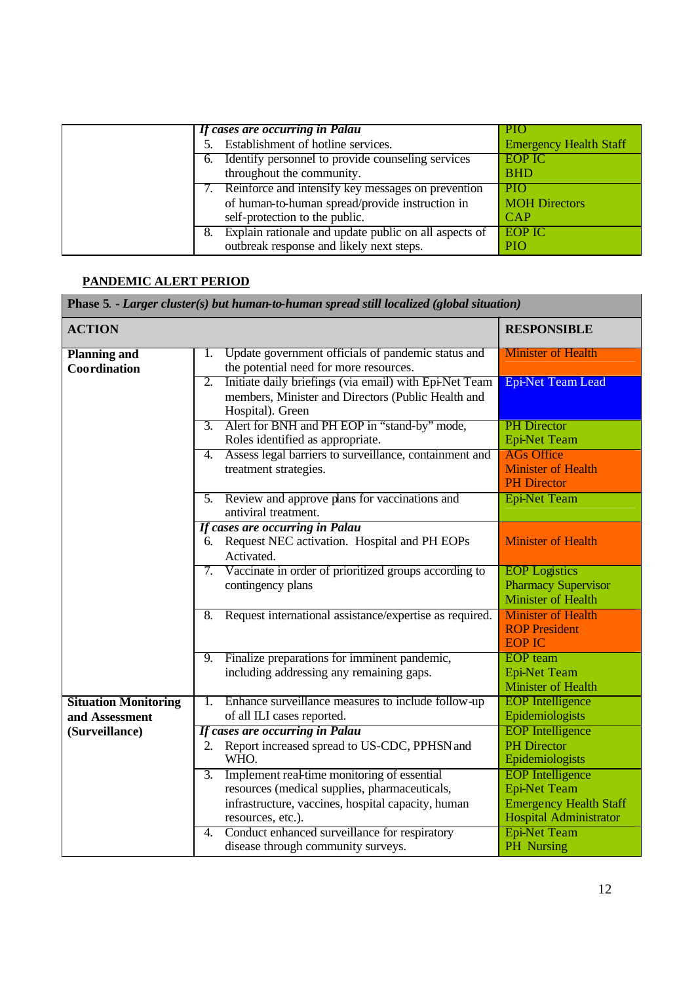| If cases are occurring in Palau                       | PIO                           |
|-------------------------------------------------------|-------------------------------|
| Establishment of hotline services.                    | <b>Emergency Health Staff</b> |
| 6. Identify personnel to provide counseling services  | <b>EOP IC</b>                 |
| throughout the community.                             | <b>BHD</b>                    |
| 7. Reinforce and intensify key messages on prevention | <b>PIO</b>                    |
| of human-to-human spread/provide instruction in       | <b>MOH Directors</b>          |
| self-protection to the public.                        | <b>CAP</b>                    |
| Explain rationale and update public on all aspects of | EOP IC                        |
| outbreak response and likely next steps.              | <b>PIO</b>                    |
|                                                       |                               |

## **PANDEMIC ALERT PERIOD**

| Phase 5. - Larger cluster(s) but human-to-human spread still localized (global situation) |                                                                                                                                                                                             |                                                                                                                  |
|-------------------------------------------------------------------------------------------|---------------------------------------------------------------------------------------------------------------------------------------------------------------------------------------------|------------------------------------------------------------------------------------------------------------------|
| <b>ACTION</b>                                                                             |                                                                                                                                                                                             | <b>RESPONSIBLE</b>                                                                                               |
| <b>Planning and</b><br>Coordination                                                       | Update government officials of pandemic status and<br>1.<br>the potential need for more resources.                                                                                          | <b>Minister of Health</b>                                                                                        |
|                                                                                           | $\overline{2}$ .<br>Initiate daily briefings (via email) with Epi-Net Team<br>members, Minister and Directors (Public Health and<br>Hospital). Green                                        | <b>Epi-Net Team Lead</b>                                                                                         |
|                                                                                           | Alert for BNH and PH EOP in "stand-by" mode,<br>3.<br>Roles identified as appropriate.                                                                                                      | <b>PH</b> Director<br><b>Epi-Net Team</b>                                                                        |
|                                                                                           | Assess legal barriers to surveillance, containment and<br>4.<br>treatment strategies.                                                                                                       | <b>AGs Office</b><br><b>Minister of Health</b><br><b>PH</b> Director                                             |
|                                                                                           | Review and approve plans for vaccinations and<br>5.<br>antiviral treatment.                                                                                                                 | <b>Epi-Net Team</b>                                                                                              |
|                                                                                           | If cases are occurring in Palau<br>Request NEC activation. Hospital and PH EOPs<br>6.<br>Activated.                                                                                         | <b>Minister of Health</b>                                                                                        |
|                                                                                           | 7. Vaccinate in order of prioritized groups according to<br>contingency plans                                                                                                               | <b>EOP</b> Logistics<br><b>Pharmacy Supervisor</b><br><b>Minister of Health</b>                                  |
|                                                                                           | Request international assistance/expertise as required.<br>8.                                                                                                                               | <b>Minister of Health</b><br><b>ROP President</b><br><b>EOP IC</b>                                               |
|                                                                                           | Finalize preparations for imminent pandemic,<br>9.<br>including addressing any remaining gaps.                                                                                              | <b>EOP</b> team<br><b>Epi-Net Team</b><br><b>Minister of Health</b>                                              |
| <b>Situation Monitoring</b><br>and Assessment                                             | Enhance surveillance measures to include follow-up<br>1.<br>of all ILI cases reported.                                                                                                      | <b>EOP</b> Intelligence<br>Epidemiologists                                                                       |
| (Surveillance)                                                                            | If cases are occurring in Palau<br>Report increased spread to US-CDC, PPHSN and<br>2.<br>WHO.                                                                                               | <b>EOP</b> Intelligence<br><b>PH</b> Director<br>Epidemiologists                                                 |
|                                                                                           | Implement real-time monitoring of essential<br>$\overline{3}$ .<br>resources (medical supplies, pharmaceuticals,<br>infrastructure, vaccines, hospital capacity, human<br>resources, etc.). | <b>EOP</b> Intelligence<br><b>Epi-Net Team</b><br><b>Emergency Health Staff</b><br><b>Hospital Administrator</b> |
|                                                                                           | 4. Conduct enhanced surveillance for respiratory<br>disease through community surveys.                                                                                                      | <b>Epi-Net Team</b><br>PH Nursing                                                                                |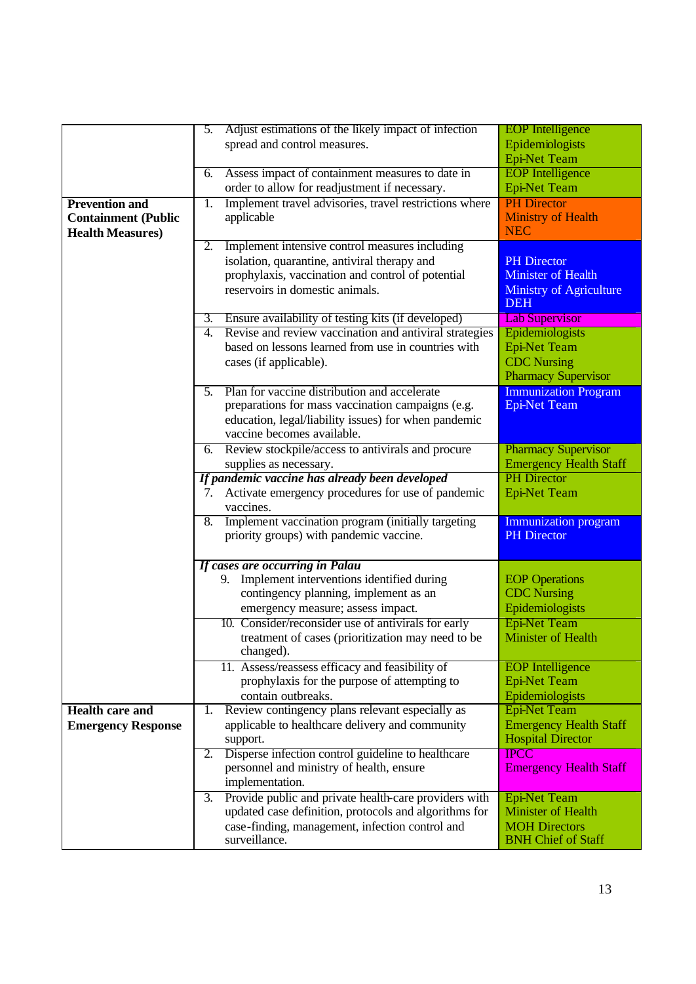|                            | Adjust estimations of the likely impact of infection<br>5.     | <b>EOP</b> Intelligence                      |
|----------------------------|----------------------------------------------------------------|----------------------------------------------|
|                            | spread and control measures.                                   | Epidemiologists                              |
|                            |                                                                | <b>Epi-Net Team</b>                          |
|                            |                                                                |                                              |
|                            | Assess impact of containment measures to date in<br>6.         | <b>EOP</b> Intelligence                      |
|                            | order to allow for readjustment if necessary.                  | <b>Epi-Net Team</b>                          |
| <b>Prevention and</b>      | Implement travel advisories, travel restrictions where<br>1.   | <b>PH</b> Director                           |
| <b>Containment (Public</b> | applicable                                                     | <b>Ministry of Health</b>                    |
| <b>Health Measures)</b>    |                                                                | <b>NEC</b>                                   |
|                            | Implement intensive control measures including<br>2.           |                                              |
|                            | isolation, quarantine, antiviral therapy and                   | <b>PH</b> Director                           |
|                            | prophylaxis, vaccination and control of potential              | <b>Minister of Health</b>                    |
|                            | reservoirs in domestic animals.                                |                                              |
|                            |                                                                | <b>Ministry of Agriculture</b><br><b>DEH</b> |
|                            | 3. Ensure availability of testing kits (if developed)          | <b>Lab Supervisor</b>                        |
|                            | Revise and review vaccination and antiviral strategies<br>4.   | Epidemiologists                              |
|                            | based on lessons learned from use in countries with            | <b>Epi-Net Team</b>                          |
|                            | cases (if applicable).                                         | <b>CDC</b> Nursing                           |
|                            |                                                                | <b>Pharmacy Supervisor</b>                   |
|                            | Plan for vaccine distribution and accelerate<br>5.             | <b>Immunization Program</b>                  |
|                            | preparations for mass vaccination campaigns (e.g.              | <b>Epi-Net Team</b>                          |
|                            | education, legal/liability issues) for when pandemic           |                                              |
|                            |                                                                |                                              |
|                            | vaccine becomes available.                                     |                                              |
|                            | Review stockpile/access to antivirals and procure<br>6.        | <b>Pharmacy Supervisor</b>                   |
|                            | supplies as necessary.                                         | <b>Emergency Health Staff</b>                |
|                            | If pandemic vaccine has already been developed                 | <b>PH</b> Director                           |
|                            | Activate emergency procedures for use of pandemic<br>7.        | <b>Epi-Net Team</b>                          |
|                            | vaccines.                                                      |                                              |
|                            | Implement vaccination program (initially targeting<br>8.       | <b>Immunization program</b>                  |
|                            | priority groups) with pandemic vaccine.                        | <b>PH</b> Director                           |
|                            |                                                                |                                              |
|                            | If cases are occurring in Palau                                |                                              |
|                            | 9. Implement interventions identified during                   | <b>EOP</b> Operations                        |
|                            | contingency planning, implement as an                          | <b>CDC</b> Nursing                           |
|                            | emergency measure; assess impact.                              | Epidemiologists                              |
|                            | 10. Consider/reconsider use of antivirals for early            | <b>Epi-Net Team</b>                          |
|                            |                                                                | <b>Minister of Health</b>                    |
|                            | treatment of cases (prioritization may need to be<br>changed). |                                              |
|                            |                                                                |                                              |
|                            | 11. Assess/reassess efficacy and feasibility of                | <b>EOP</b> Intelligence                      |
|                            | prophylaxis for the purpose of attempting to                   | <b>Epi-Net Team</b>                          |
|                            | contain outbreaks.                                             | Epidemiologists                              |
| <b>Health care and</b>     | Review contingency plans relevant especially as<br>1.          | <b>Epi-Net Team</b>                          |
| <b>Emergency Response</b>  | applicable to healthcare delivery and community                | <b>Emergency Health Staff</b>                |
|                            | support.                                                       | <b>Hospital Director</b>                     |
|                            | Disperse infection control guideline to healthcare<br>2.       | <b>IPCC</b>                                  |
|                            | personnel and ministry of health, ensure                       | <b>Emergency Health Staff</b>                |
|                            | implementation.                                                |                                              |
|                            | Provide public and private health-care providers with          |                                              |
|                            | 3.                                                             | <b>Epi-Net Team</b>                          |
|                            | updated case definition, protocols and algorithms for          | Minister of Health                           |
|                            | case-finding, management, infection control and                | <b>MOH Directors</b>                         |
|                            | surveillance.                                                  | <b>BNH Chief of Staff</b>                    |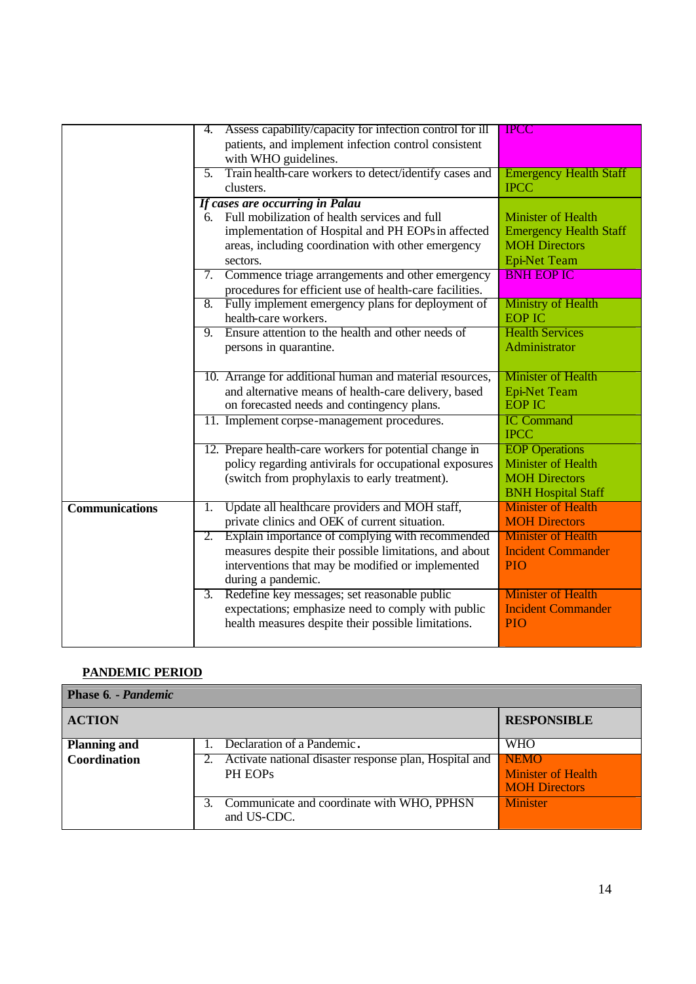|                       | 4. | Assess capability/capacity for infection control for ill<br>patients, and implement infection control consistent | <b>IPCC</b>                                            |
|-----------------------|----|------------------------------------------------------------------------------------------------------------------|--------------------------------------------------------|
|                       |    | with WHO guidelines.                                                                                             |                                                        |
|                       |    | 5. Train health-care workers to detect/identify cases and                                                        | <b>Emergency Health Staff</b>                          |
|                       |    | clusters.                                                                                                        | <b>IPCC</b>                                            |
|                       |    | If cases are occurring in Palau                                                                                  |                                                        |
|                       |    | 6. Full mobilization of health services and full                                                                 | <b>Minister of Health</b>                              |
|                       |    | implementation of Hospital and PH EOPs in affected                                                               | <b>Emergency Health Staff</b>                          |
|                       |    | areas, including coordination with other emergency                                                               | <b>MOH Directors</b>                                   |
|                       |    | sectors.                                                                                                         | <b>Epi-Net Team</b>                                    |
|                       |    | 7. Commence triage arrangements and other emergency                                                              | <b>BNH EOP IC</b>                                      |
|                       |    | procedures for efficient use of health-care facilities.                                                          |                                                        |
|                       |    | 8. Fully implement emergency plans for deployment of                                                             | <b>Ministry of Health</b>                              |
|                       |    | health-care workers.                                                                                             | <b>EOP IC</b>                                          |
|                       |    | 9. Ensure attention to the health and other needs of                                                             | <b>Health Services</b><br>Administrator                |
|                       |    | persons in quarantine.                                                                                           |                                                        |
|                       |    | 10. Arrange for additional human and material resources,                                                         | Minister of Health                                     |
|                       |    | and alternative means of health-care delivery, based                                                             | <b>Epi-Net Team</b>                                    |
|                       |    | on forecasted needs and contingency plans.                                                                       | <b>EOP IC</b>                                          |
|                       |    | 11. Implement corpse-management procedures.                                                                      | <b>IC Command</b>                                      |
|                       |    |                                                                                                                  | <b>IPCC</b>                                            |
|                       |    | 12. Prepare health-care workers for potential change in                                                          | <b>EOP</b> Operations                                  |
|                       |    | policy regarding antivirals for occupational exposures                                                           | <b>Minister of Health</b>                              |
|                       |    | (switch from prophylaxis to early treatment).                                                                    | <b>MOH Directors</b>                                   |
|                       |    |                                                                                                                  | <b>BNH Hospital Staff</b><br><b>Minister of Health</b> |
| <b>Communications</b> | 1. | Update all healthcare providers and MOH staff,<br>private clinics and OEK of current situation.                  | <b>MOH Directors</b>                                   |
|                       |    | 2. Explain importance of complying with recommended                                                              | <b>Minister of Health</b>                              |
|                       |    | measures despite their possible limitations, and about                                                           | <b>Incident Commander</b>                              |
|                       |    | interventions that may be modified or implemented                                                                | <b>PIO</b>                                             |
|                       |    | during a pandemic.                                                                                               |                                                        |
|                       | 3. | Redefine key messages; set reasonable public                                                                     | <b>Minister of Health</b>                              |
|                       |    | expectations; emphasize need to comply with public                                                               | <b>Incident Commander</b>                              |
|                       |    | health measures despite their possible limitations.                                                              | <b>PIO</b>                                             |
|                       |    |                                                                                                                  |                                                        |

## **PANDEMIC PERIOD**

| Phase 6. - Pandemic |                                                                                  |                                                                        |
|---------------------|----------------------------------------------------------------------------------|------------------------------------------------------------------------|
| <b>ACTION</b>       |                                                                                  | <b>RESPONSIBLE</b>                                                     |
| <b>Planning and</b> | Declaration of a Pandemic.                                                       | <b>WHO</b>                                                             |
| Coordination        | 2. Activate national disaster response plan, Hospital and<br>PH EOP <sub>s</sub> | NEMO <sup>®</sup><br><b>Minister of Health</b><br><b>MOH Directors</b> |
|                     | Communicate and coordinate with WHO, PPHSN<br>and US-CDC.                        | <b>Minister</b>                                                        |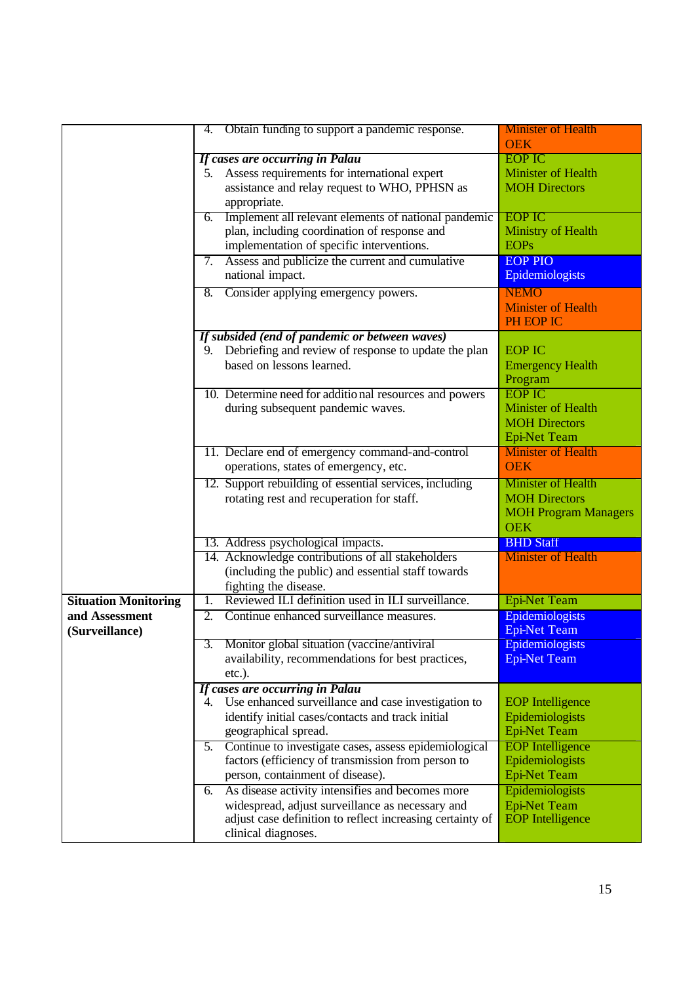|                             | 4.               | Obtain funding to support a pandemic response.            | <b>Minister of Health</b><br><b>OEK</b> |
|-----------------------------|------------------|-----------------------------------------------------------|-----------------------------------------|
|                             |                  | If cases are occurring in Palau                           | <b>EOP IC</b>                           |
|                             | 5.               | Assess requirements for international expert              | Minister of Health                      |
|                             |                  | assistance and relay request to WHO, PPHSN as             | <b>MOH Directors</b>                    |
|                             |                  |                                                           |                                         |
|                             |                  | appropriate.                                              |                                         |
|                             | 6.               | Implement all relevant elements of national pandemic      | <b>EOP IC</b>                           |
|                             |                  | plan, including coordination of response and              | Ministry of Health                      |
|                             |                  | implementation of specific interventions.                 | <b>EOPs</b>                             |
|                             | 7.               | Assess and publicize the current and cumulative           | <b>EOP PIO</b>                          |
|                             |                  | national impact.                                          | Epidemiologists                         |
|                             | 8.               | Consider applying emergency powers.                       | <b>NEMO</b>                             |
|                             |                  |                                                           | <b>Minister of Health</b>               |
|                             |                  |                                                           | PH EOP IC                               |
|                             |                  | If subsided (end of pandemic or between waves)            |                                         |
|                             | 9.               | Debriefing and review of response to update the plan      | <b>EOP IC</b>                           |
|                             |                  | based on lessons learned.                                 | <b>Emergency Health</b>                 |
|                             |                  |                                                           | Program                                 |
|                             |                  | 10. Determine need for additional resources and powers    | <b>EOP IC</b>                           |
|                             |                  | during subsequent pandemic waves.                         | <b>Minister of Health</b>               |
|                             |                  |                                                           | <b>MOH Directors</b>                    |
|                             |                  |                                                           | <b>Epi-Net Team</b>                     |
|                             |                  | 11. Declare end of emergency command-and-control          | <b>Minister</b> of Health               |
|                             |                  | operations, states of emergency, etc.                     | <b>OEK</b>                              |
|                             |                  | 12. Support rebuilding of essential services, including   | <b>Minister of Health</b>               |
|                             |                  | rotating rest and recuperation for staff.                 | <b>MOH Directors</b>                    |
|                             |                  |                                                           | <b>MOH Program Managers</b>             |
|                             |                  |                                                           | <b>OEK</b>                              |
|                             |                  | 13. Address psychological impacts.                        | <b>BHD Staff</b>                        |
|                             |                  | 14. Acknowledge contributions of all stakeholders         | <b>Minister of Health</b>               |
|                             |                  | (including the public) and essential staff towards        |                                         |
|                             |                  | fighting the disease.                                     |                                         |
| <b>Situation Monitoring</b> | $\overline{1}$ . | Reviewed ILI definition used in ILI surveillance.         | <b>Epi-Net Team</b>                     |
| and Assessment              | 2.               | Continue enhanced surveillance measures.                  | Epidemiologists                         |
| (Surveillance)              |                  |                                                           | <b>Epi-Net Team</b>                     |
|                             |                  | 3. Monitor global situation (vaccine/antiviral            | Epidemiologists                         |
|                             |                  | availability, recommendations for best practices,         | <b>Epi-Net Team</b>                     |
|                             |                  | $etc.$ ).                                                 |                                         |
|                             |                  | If cases are occurring in Palau                           |                                         |
|                             |                  | 4. Use enhanced surveillance and case investigation to    | <b>EOP</b> Intelligence                 |
|                             |                  | identify initial cases/contacts and track initial         | Epidemiologists                         |
|                             |                  | geographical spread.                                      | <b>Epi-Net Team</b>                     |
|                             | 5.               | Continue to investigate cases, assess epidemiological     | <b>EOP</b> Intelligence                 |
|                             |                  | factors (efficiency of transmission from person to        | Epidemiologists                         |
|                             |                  | person, containment of disease).                          | <b>Epi-Net Team</b>                     |
|                             | 6.               | As disease activity intensifies and becomes more          | Epidemiologists                         |
|                             |                  | widespread, adjust surveillance as necessary and          | <b>Epi-Net Team</b>                     |
|                             |                  | adjust case definition to reflect increasing certainty of | <b>EOP</b> Intelligence                 |
|                             |                  | clinical diagnoses.                                       |                                         |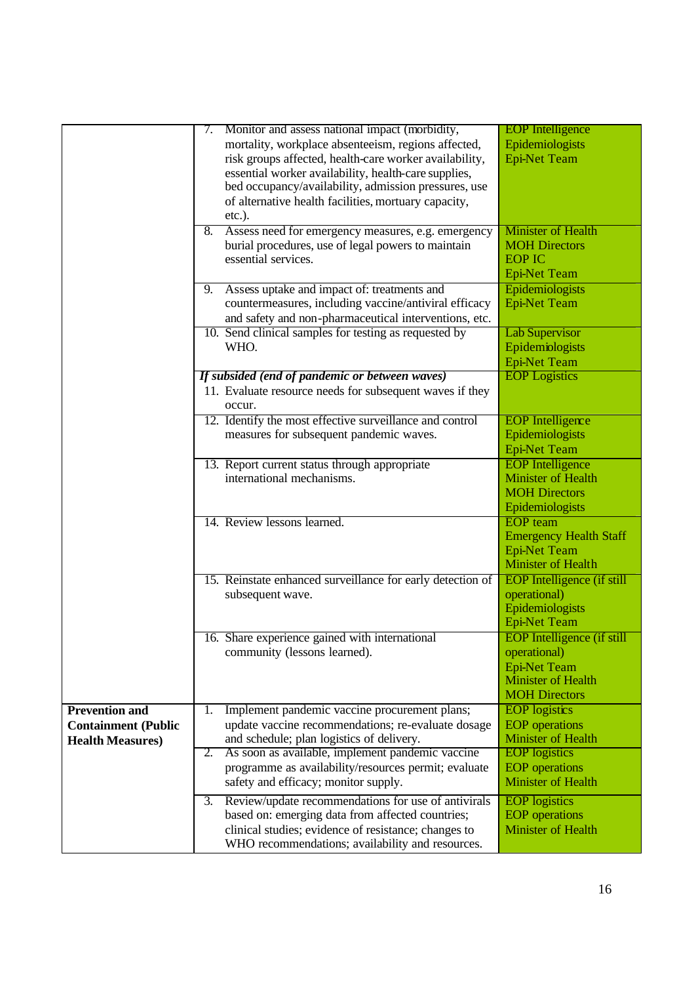|                            | 7. | Monitor and assess national impact (morbidity,             | <b>EOP</b> Intelligence           |
|----------------------------|----|------------------------------------------------------------|-----------------------------------|
|                            |    | mortality, workplace absenteeism, regions affected,        | Epidemiologists                   |
|                            |    | risk groups affected, health-care worker availability,     | <b>Epi-Net Team</b>               |
|                            |    | essential worker availability, health-care supplies,       |                                   |
|                            |    | bed occupancy/availability, admission pressures, use       |                                   |
|                            |    | of alternative health facilities, mortuary capacity,       |                                   |
|                            |    | $etc.$ ).                                                  |                                   |
|                            | 8. | Assess need for emergency measures, e.g. emergency         | <b>Minister of Health</b>         |
|                            |    | burial procedures, use of legal powers to maintain         | <b>MOH Directors</b>              |
|                            |    | essential services.                                        | <b>EOP IC</b>                     |
|                            |    |                                                            | <b>Epi-Net Team</b>               |
|                            |    | Assess uptake and impact of: treatments and                | Epidemiologists                   |
|                            | 9. |                                                            |                                   |
|                            |    | countermeasures, including vaccine/antiviral efficacy      | <b>Epi-Net Team</b>               |
|                            |    | and safety and non-pharmaceutical interventions, etc.      |                                   |
|                            |    | 10. Send clinical samples for testing as requested by      | <b>Lab Supervisor</b>             |
|                            |    | WHO.                                                       | Epidemiologists                   |
|                            |    |                                                            | <b>Epi-Net Team</b>               |
|                            |    | If subsided (end of pandemic or between waves)             | <b>EOP</b> Logistics              |
|                            |    | 11. Evaluate resource needs for subsequent waves if they   |                                   |
|                            |    | occur.                                                     |                                   |
|                            |    | 12. Identify the most effective surveillance and control   | <b>EOP</b> Intelligence           |
|                            |    | measures for subsequent pandemic waves.                    | Epidemiologists                   |
|                            |    |                                                            | <b>Epi-Net Team</b>               |
|                            |    | 13. Report current status through appropriate              | <b>EOP</b> Intelligence           |
|                            |    | international mechanisms.                                  | <b>Minister of Health</b>         |
|                            |    |                                                            | <b>MOH Directors</b>              |
|                            |    |                                                            | Epidemiologists                   |
|                            |    | 14. Review lessons learned.                                | <b>EOP</b> team                   |
|                            |    |                                                            | <b>Emergency Health Staff</b>     |
|                            |    |                                                            | <b>Epi-Net Team</b>               |
|                            |    |                                                            | <b>Minister of Health</b>         |
|                            |    |                                                            |                                   |
|                            |    | 15. Reinstate enhanced surveillance for early detection of | <b>EOP</b> Intelligence (if still |
|                            |    | subsequent wave.                                           | operational)                      |
|                            |    |                                                            | Epidemiologists                   |
|                            |    |                                                            | <b>Epi-Net Team</b>               |
|                            |    | 16. Share experience gained with international             | <b>EOP</b> Intelligence (if still |
|                            |    | community (lessons learned).                               | operational)                      |
|                            |    |                                                            | <b>Epi-Net Team</b>               |
|                            |    |                                                            | <b>Minister of Health</b>         |
|                            |    |                                                            | <b>MOH Directors</b>              |
| <b>Prevention and</b>      | 1. | Implement pandemic vaccine procurement plans;              | <b>EOP</b> logistics              |
| <b>Containment (Public</b> |    | update vaccine recommendations; re-evaluate dosage         | <b>EOP</b> operations             |
| <b>Health Measures)</b>    |    | and schedule; plan logistics of delivery.                  | <b>Minister of Health</b>         |
|                            | 2. | As soon as available, implement pandemic vaccine           | <b>EOP</b> logistics              |
|                            |    | programme as availability/resources permit; evaluate       | <b>EOP</b> operations             |
|                            |    | safety and efficacy; monitor supply.                       | <b>Minister of Health</b>         |
|                            | 3. | Review/update recommendations for use of antivirals        | <b>EOP</b> logistics              |
|                            |    | based on: emerging data from affected countries;           | <b>EOP</b> operations             |
|                            |    | clinical studies; evidence of resistance; changes to       | <b>Minister of Health</b>         |
|                            |    | WHO recommendations; availability and resources.           |                                   |
|                            |    |                                                            |                                   |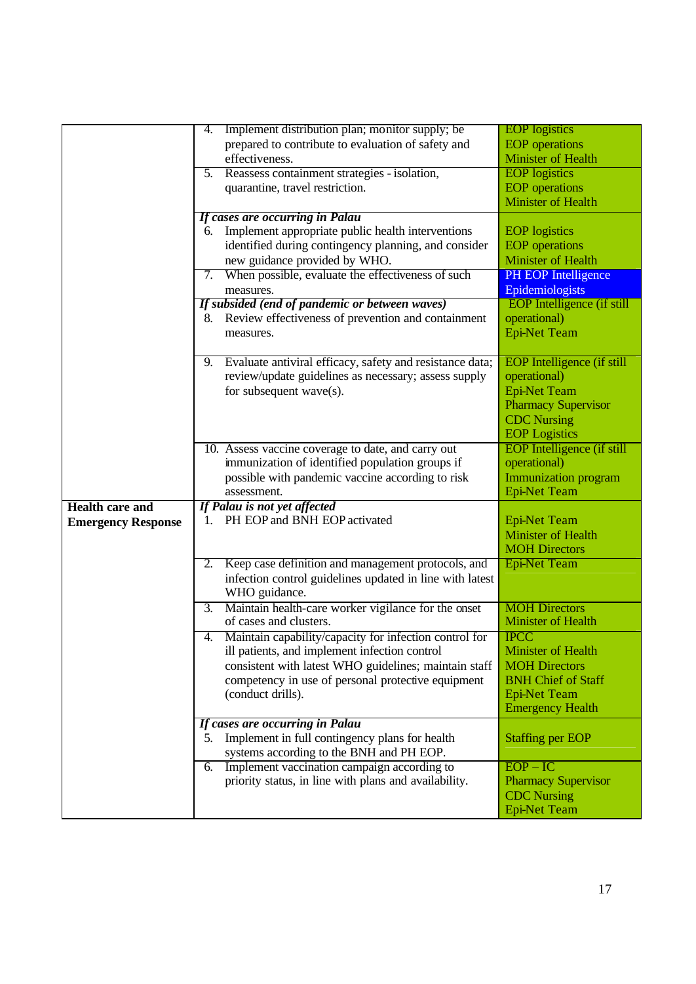|                           | Implement distribution plan; monitor supply; be<br>4.                   | <b>EOP</b> logistics              |
|---------------------------|-------------------------------------------------------------------------|-----------------------------------|
|                           | prepared to contribute to evaluation of safety and                      | <b>EOP</b> operations             |
|                           | effectiveness.                                                          | <b>Minister of Health</b>         |
|                           | 5. Reassess containment strategies - isolation,                         | <b>EOP</b> logistics              |
|                           | quarantine, travel restriction.                                         | <b>EOP</b> operations             |
|                           |                                                                         | <b>Minister of Health</b>         |
|                           | If cases are occurring in Palau                                         |                                   |
|                           | Implement appropriate public health interventions<br>6.                 | <b>EOP</b> logistics              |
|                           | identified during contingency planning, and consider                    | <b>EOP</b> operations             |
|                           | new guidance provided by WHO.                                           | <b>Minister of Health</b>         |
|                           | When possible, evaluate the effectiveness of such<br>7.                 | PH EOP Intelligence               |
|                           | measures.                                                               | Epidemiologists                   |
|                           | If subsided (end of pandemic or between waves)                          | <b>EOP</b> Intelligence (if still |
|                           | 8. Review effectiveness of prevention and containment                   | operational)                      |
|                           |                                                                         |                                   |
|                           | measures.                                                               | <b>Epi-Net Team</b>               |
|                           | Evaluate antiviral efficacy, safety and resistance data;<br>9.          | <b>EOP</b> Intelligence (if still |
|                           |                                                                         |                                   |
|                           | review/update guidelines as necessary; assess supply                    | operational)                      |
|                           | for subsequent wave(s).                                                 | <b>Epi-Net Team</b>               |
|                           |                                                                         | <b>Pharmacy Supervisor</b>        |
|                           |                                                                         | <b>CDC</b> Nursing                |
|                           |                                                                         | <b>EOP</b> Logistics              |
|                           | 10. Assess vaccine coverage to date, and carry out                      | <b>EOP</b> Intelligence (if still |
|                           | immunization of identified population groups if                         | operational)                      |
|                           | possible with pandemic vaccine according to risk                        | <b>Immunization program</b>       |
|                           | assessment.                                                             | <b>Epi-Net Team</b>               |
| <b>Health care and</b>    | If Palau is not yet affected                                            |                                   |
| <b>Emergency Response</b> | 1. PH EOP and BNH EOP activated                                         | <b>Epi-Net Team</b>               |
|                           |                                                                         | <b>Minister of Health</b>         |
|                           |                                                                         | <b>MOH Directors</b>              |
|                           | Keep case definition and management protocols, and<br>2.                | <b>Epi-Net Team</b>               |
|                           | infection control guidelines updated in line with latest                |                                   |
|                           | WHO guidance.                                                           |                                   |
|                           | Maintain health-care worker vigilance for the onset<br>$\overline{3}$ . | <b>MOH Directors</b>              |
|                           | of cases and clusters.                                                  | <b>Minister of Health</b>         |
|                           | Maintain capability/capacity for infection control for<br>4.            | <b>IPCC</b>                       |
|                           | ill patients, and implement infection control                           | Minister of Health                |
|                           | consistent with latest WHO guidelines; maintain staff                   | <b>MOH Directors</b>              |
|                           |                                                                         | <b>BNH Chief of Staff</b>         |
|                           | competency in use of personal protective equipment                      |                                   |
|                           | (conduct drills).                                                       | <b>Epi-Net Team</b>               |
|                           |                                                                         | <b>Emergency Health</b>           |
|                           | If cases are occurring in Palau                                         |                                   |
|                           | Implement in full contingency plans for health<br>5.                    | <b>Staffing per EOP</b>           |
|                           | systems according to the BNH and PH EOP.                                |                                   |
|                           | Implement vaccination campaign according to<br>6.                       | $EOP - IC$                        |
|                           | priority status, in line with plans and availability.                   | <b>Pharmacy Supervisor</b>        |
|                           |                                                                         | <b>CDC</b> Nursing                |
|                           |                                                                         | <b>Epi-Net Team</b>               |
|                           |                                                                         |                                   |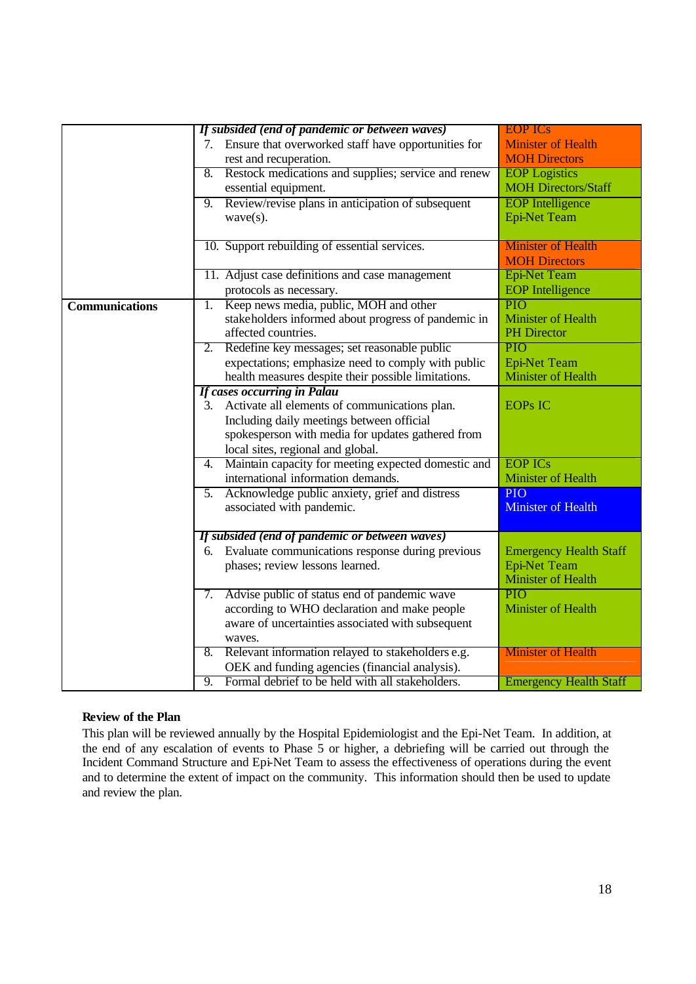|                       |                  | If subsided (end of pandemic or between waves)       | <b>EOP ICs</b>                |
|-----------------------|------------------|------------------------------------------------------|-------------------------------|
|                       | 7.               | Ensure that overworked staff have opportunities for  | <b>Minister of Health</b>     |
|                       |                  | rest and recuperation.                               | <b>MOH Directors</b>          |
|                       | 8.               | Restock medications and supplies; service and renew  | <b>EOP</b> Logistics          |
|                       |                  | essential equipment.                                 | <b>MOH Directors/Staff</b>    |
|                       | 9.               | Review/revise plans in anticipation of subsequent    | <b>EOP</b> Intelligence       |
|                       |                  | $wave(s)$ .                                          | <b>Epi-Net Team</b>           |
|                       |                  | 10. Support rebuilding of essential services.        | <b>Minister of Health</b>     |
|                       |                  |                                                      | <b>MOH Directors</b>          |
|                       |                  | 11. Adjust case definitions and case management      | <b>Epi-Net Team</b>           |
|                       |                  | protocols as necessary.                              | <b>EOP</b> Intelligence       |
| <b>Communications</b> | $\overline{1}$ . | Keep news media, public, MOH and other               | PIO                           |
|                       |                  | stakeholders informed about progress of pandemic in  | <b>Minister of Health</b>     |
|                       |                  | affected countries.                                  | <b>PH</b> Director            |
|                       |                  | 2. Redefine key messages; set reasonable public      | PIO                           |
|                       |                  | expectations; emphasize need to comply with public   | <b>Epi-Net Team</b>           |
|                       |                  | health measures despite their possible limitations.  | <b>Minister of Health</b>     |
|                       |                  | <b>If cases occurring in Palau</b>                   |                               |
|                       | 3.               | Activate all elements of communications plan.        | <b>EOPS IC</b>                |
|                       |                  | Including daily meetings between official            |                               |
|                       |                  | spokesperson with media for updates gathered from    |                               |
|                       |                  | local sites, regional and global.                    |                               |
|                       | 4.               | Maintain capacity for meeting expected domestic and  | <b>EOP ICs</b>                |
|                       |                  | international information demands.                   | Minister of Health            |
|                       | 5.               | Acknowledge public anxiety, grief and distress       | PIO <sub></sub>               |
|                       |                  | associated with pandemic.                            | <b>Minister of Health</b>     |
|                       |                  | If subsided (end of pandemic or between waves)       |                               |
|                       |                  | 6. Evaluate communications response during previous  | <b>Emergency Health Staff</b> |
|                       |                  | phases; review lessons learned.                      | <b>Epi-Net Team</b>           |
|                       |                  |                                                      | <b>Minister of Health</b>     |
|                       | 7.               | Advise public of status end of pandemic wave         | PIO                           |
|                       |                  | according to WHO declaration and make people         | Minister of Health            |
|                       |                  | aware of uncertainties associated with subsequent    |                               |
|                       |                  | waves.                                               |                               |
|                       |                  | 8. Relevant information relayed to stakeholders e.g. | <b>Minister of Health</b>     |
|                       |                  | OEK and funding agencies (financial analysis).       |                               |
|                       | $\overline{9}$ . | Formal debrief to be held with all stakeholders.     | <b>Emergency Health Staff</b> |

### **Review of the Plan**

This plan will be reviewed annually by the Hospital Epidemiologist and the Epi-Net Team. In addition, at the end of any escalation of events to Phase 5 or higher, a debriefing will be carried out through the Incident Command Structure and Epi-Net Team to assess the effectiveness of operations during the event and to determine the extent of impact on the community. This information should then be used to update and review the plan.